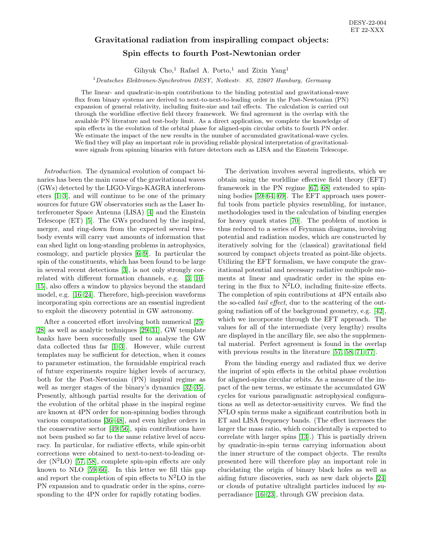## Gravitational radiation from inspiralling compact objects: Spin effects to fourth Post-Newtonian order

Gihyuk Cho,<sup>1</sup> Rafael A. Porto,<sup>1</sup> and Zixin Yang<sup>1</sup>

 $1$ Deutsches Elektronen-Synchrotron DESY, Notkestr. 85, 22607 Hamburg, Germany

The linear- and quadratic-in-spin contributions to the binding potential and gravitational-wave flux from binary systems are derived to next-to-next-to-leading order in the Post-Newtonian (PN) expansion of general relativity, including finite-size and tail effects. The calculation is carried out through the worldline effective field theory framework. We find agreement in the overlap with the available PN literature and test-body limit. As a direct application, we complete the knowledge of spin effects in the evolution of the orbital phase for aligned-spin circular orbits to fourth PN order. We estimate the impact of the new results in the number of accumulated gravitational-wave cycles. We find they will play an important role in providing reliable physical interpretation of gravitationalwave signals from spinning binaries with future detectors such as LISA and the Einstein Telescope.

Introduction. The dynamical evolution of compact binaries has been the main cause of the gravitational waves (GWs) detected by the LIGO-Virgo-KAGRA interferometers [\[1–](#page-12-0)[3\]](#page-12-1), and will continue to be one of the primary sources for future GW observatories such as the Laser Interferometer Space Antenna (LISA) [\[4\]](#page-12-2) and the Einstein Telescope (ET) [\[5\]](#page-12-3). The GWs produced by the inspiral, merger, and ring-down from the expected several twobody events will carry vast amounts of information that can shed light on long-standing problems in astrophysics, cosmology, and particle physics [\[6–](#page-12-4)[9\]](#page-13-0). In particular the spin of the constituents, which has been found to be large in several recent detections [\[3\]](#page-12-1), is not only strongly correlated with different formation channels, e.g. [\[3,](#page-12-1) [10–](#page-13-1) [15\]](#page-13-2), also offers a window to physics beyond the standard model, e.g. [\[16](#page-13-3)[–24\]](#page-13-4). Therefore, high-precision waveforms incorporating spin corrections are an essential ingredient to exploit the discovery potential in GW astronomy.

After a concerted effort involving both numerical [\[25–](#page-13-5) [28\]](#page-13-6) as well as analytic techniques [\[29](#page-13-7)[–31\]](#page-13-8), GW template banks have been successfully used to analyse the GW data collected thus far [\[1–](#page-12-0)[3\]](#page-12-1). However, while current templates may be sufficient for detection, when it comes to parameter estimation, the formidable empirical reach of future experiments require higher levels of accuracy, both for the Post-Newtonian (PN) inspiral regime as well as merger stages of the binary's dynamics [\[32–](#page-13-9)[35\]](#page-13-10). Presently, although partial results for the derivation of the evolution of the orbital phase in the inspiral regime are known at 4PN order for non-spinning bodies through various computations [\[36](#page-13-11)[–48\]](#page-14-0), and even higher orders in the conservative sector [\[49](#page-14-1)[–56\]](#page-14-2), spin contributions have not been pushed so far to the same relative level of accuracy. In particular, for radiative effects, while spin-orbit corrections were obtained to next-to-next-to-leading order  $(N^2LO)$  [\[57,](#page-14-3) [58\]](#page-14-4), complete spin-spin effects are only known to NLO [\[59](#page-14-5)[–66\]](#page-14-6). In this letter we fill this gap and report the completion of spin effects to  $N^2LO$  in the PN expansion and to quadratic order in the spins, corresponding to the 4PN order for rapidly rotating bodies.

The derivation involves several ingredients, which we obtain using the worldline effective field theory (EFT) framework in the PN regime [\[67,](#page-14-7) [68\]](#page-14-8) extended to spinning bodies [\[59](#page-14-5)[–64,](#page-14-9) [69\]](#page-14-10). The EFT approach uses powerful tools from particle physics resembling, for instance, methodologies used in the calculation of binding energies for heavy quark states [\[70\]](#page-14-11). The problem of motion is thus reduced to a series of Feynman diagrams, involving potential and radiation modes, which are constructed by iteratively solving for the (classical) gravitational field sourced by compact objects treated as point-like objects. Utilizing the EFT formalism, we have compute the gravitational potential and necessary radiative multipole moments at linear and quadratic order in the spins entering in the flux to  $N^2LO$ , including finite-size effects. The completion of spin contributions at 4PN entails also the so-called tail effect, due to the scattering of the outgoing radiation off of the background geometry, e.g. [\[42\]](#page-14-12), which we incorporate through the EFT approach. The values for all of the intermediate (very lengthy) results are displayed in the ancillary file, see also the supplemental material. Perfect agreement is found in the overlap with previous results in the literature [\[57,](#page-14-3) [58,](#page-14-4) [71](#page-14-13)[–77\]](#page-15-0).

From the binding energy and radiated flux we derive the imprint of spin effects in the orbital phase evolution for aligned-spins circular orbits. As a measure of the impact of the new terms, we estimate the accumulated GW cycles for various paradigmatic astrophysical configurations as well as detector-sensitivity curves. We find the N<sup>2</sup>LO spin terms make a significant contribution both in ET and LISA frequency bands. (The effect increases the larger the mass ratio, which coincidentally is expected to correlate with larger spins [\[13\]](#page-13-12).) This is partially driven by quadratic-in-spin terms carrying information about the inner structure of the compact objects. The results presented here will therefore play an important role in elucidating the origin of binary black holes as well as aiding future discoveries, such as new dark objects [\[24\]](#page-13-4) or clouds of putative ultralight particles induced by superradiance [\[16–](#page-13-3)[23\]](#page-13-13), through GW precision data.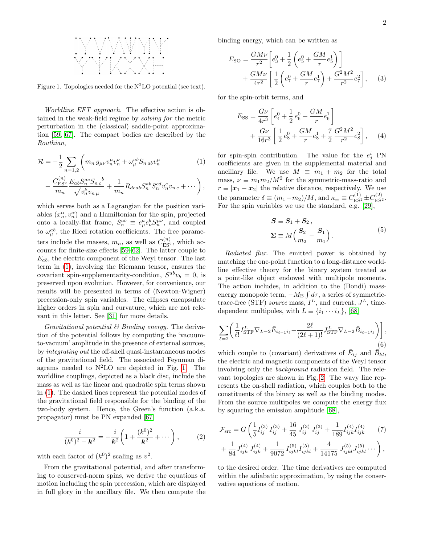

<span id="page-1-1"></span>Figure 1. Topologies needed for the  $N^2LO$  potential (see text).

Worldline EFT approach. The effective action is obtained in the weak-field regime by solving for the metric perturbation in the (classical) saddle-point approximation [\[59,](#page-14-5) [67\]](#page-14-7). The compact bodies are described by the Routhian,

$$
\mathcal{R} = -\frac{1}{2} \sum_{n=1,2} \left( m_n \, g_{\mu\nu} v_n^{\mu} v_n^{\nu} + \omega_{\mu}^{ab} S_{n \, ab} v_n^{\mu} \right)
$$
 (1)

$$
- \frac{C_{\text{ES}^2}^{(n)}}{m_n} \frac{E_{ab} S_n^{ac} S_{nc}^b}{\sqrt{v_n^{\mu} v_{n \mu}}} + \frac{1}{m_n} R_{deab} S_n^{ab} S_n^{cd} v_{n \, v_{n \, c}}^e + \cdots \bigg) ,
$$

which serves both as a Lagrangian for the position variables  $(x_n^{\alpha}, v_n^{\alpha})$  and a Hamiltonian for the spin, projected onto a locally-flat frame,  $S_n^{ab} \equiv e^a_\mu e^b_\nu S_n^{\mu\nu}$ , and coupled to  $\omega_{\mu}^{ab}$ , the Ricci rotation coefficients. The free parameters include the masses,  $m_n$ , as well as  $C_{ES^2}^{(n)}$ , which accounts for finite-size effects [\[59](#page-14-5)[–62\]](#page-14-14). The latter couple to  $E_{ab}$ , the electric component of the Weyl tensor. The last term in [\(1\)](#page-1-0), involving the Riemann tensor, ensures the covariant spin-supplementarity-condition,  $S^{ab}v_b = 0$ , is preserved upon evolution. However, for convenience, our results will be presented in terms of (Newton-Wigner) precession-only spin variables. The ellipses encapsulate higher orders in spin and curvature, which are not relevant in this letter. See [\[31\]](#page-13-8) for more details.

Gravitational potential  $\mathcal B$  Binding energy. The derivation of the potential follows by computing the 'vacuumto-vacuum' amplitude in the presence of external sources, by integrating out the off-shell quasi-instantaneous modes of the gravitational field. The associated Feynman diagrams needed to  $N<sup>2</sup>LO$  are depicted in Fig. [1.](#page-1-1) The worldline couplings, depicted as a black disc, include the mass as well as the linear and quadratic spin terms shown in [\(1\)](#page-1-0). The dashed lines represent the potential modes of the gravitational field responsible for the binding of the two-body system. Hence, the Green's function (a.k.a. propagator) must be PN expanded [\[67\]](#page-14-7)

$$
\frac{i}{(k^0)^2 - \mathbf{k}^2} = -\frac{i}{\mathbf{k}^2} \left( 1 + \frac{(k^0)^2}{\mathbf{k}^2} + \cdots \right),\tag{2}
$$

with each factor of  $(k^0)^2$  scaling as  $v^2$ .

From the gravitational potential, and after transforming to conserved-norm spins, we derive the equations of motion including the spin precession, which are displayed in full glory in the ancillary file. We then compute the

binding energy, which can be written as

$$
E_{\text{SO}} = \frac{GM\nu}{r^2} \left[ e_3^0 + \frac{1}{2} \left( e_5^0 + \frac{GM}{r} e_5^1 \right) \right] + \frac{GM\nu}{4r^2} \left[ \frac{1}{2} \left( e_7^0 + \frac{GM}{r} e_7^1 \right) + \frac{G^2 M^2}{r^2} e_7^2 \right], \quad (3)
$$

for the spin-orbit terms, and

<span id="page-1-3"></span>
$$
E_{\rm SS} = \frac{G\nu}{4r^3} \left[ e_4^0 + \frac{1}{2} e_6^0 + \frac{GM}{r} e_6^1 \right] + \frac{G\nu}{16r^3} \left[ \frac{1}{2} e_8^0 + \frac{GM}{r} e_8^1 + \frac{7}{2} \frac{G^2 M^2}{r^2} e_8^2 \right], \quad (4)
$$

<span id="page-1-0"></span>for spin-spin contribution. The value for the  $e_j^i$  PN coefficients are given in the supplemental material and ancillary file. We use  $M \equiv m_1 + m_2$  for the total mass,  $\nu \equiv m_1 m_2 / M^2$  for the symmetric-mass-ratio and  $r \equiv |\mathbf{x}_1 - \mathbf{x}_2|$  the relative distance, respectively. We use the parameter  $\delta \equiv (m_1 - m_2)/M$ , and  $\kappa_{\pm} \equiv C_{\text{ES}^2}^{(1)} \pm C_{\text{ES}^2}^{(2)}$ . For the spin variables we use the standard, e.g.  $[29]$ ,

<span id="page-1-4"></span>
$$
S \equiv S_1 + S_2,
$$
  
\n
$$
\Sigma \equiv M \left( \frac{S_2}{m_2} - \frac{S_1}{m_1} \right).
$$
\n(5)

Radiated flux. The emitted power is obtained by matching the one-point function to a long-distance worldline effective theory for the binary system treated as a point-like object endowed with multipole moments. The action includes, in addition to the (Bondi) massenergy monopole term,  $-M_B \int d\tau$ , a series of symmetrictrace-free (STF) source mass,  $I<sup>L</sup>$ , and current,  $J<sup>L</sup>$ , timedependent multipoles, with  $L \equiv \{i_1 \cdots i_L\},\,$  [\[68\]](#page-14-8)

$$
\sum_{\ell=2} \left( \frac{1}{\ell!} I_{\text{STF}}^L \nabla_{L-2} \bar{E}_{i_{\ell-1}i_{\ell}} - \frac{2\ell}{(2\ell+1)!} J_{\text{STF}}^L \nabla_{L-2} \bar{B}_{i_{\ell-1}i_{\ell}} \right) \right],
$$
  
(6)

which couple to (covariant) derivatives of  $\bar{E}_{ij}$  and  $\bar{B}_{kl}$ , the electric and magnetic components of the Weyl tensor involving only the background radiation field. The relevant topologies are shown in Fig. [2.](#page-2-0) The wavy line represents the on-shell radiation, which couples both to the constituents of the binary as well as the binding modes. From the source multipoles we compute the energy flux by squaring the emission amplitude [\[68\]](#page-14-8),

<span id="page-1-2"></span>
$$
\mathcal{F}_{\rm src} = G \left( \frac{1}{5} I_{ij}^{(3)} I_{ij}^{(3)} + \frac{16}{45} J_{ij}^{(3)} J_{ij}^{(3)} + \frac{1}{189} I_{ijk}^{(4)} I_{ijk}^{(4)} \right) \n+ \frac{1}{84} J_{ijk}^{(4)} J_{ijk}^{(4)} + \frac{1}{9072} I_{ijkl}^{(5)} I_{ijkl}^{(5)} + \frac{4}{14175} J_{ijkl}^{(5)} J_{ijkl}^{(5)} \cdots \right),
$$

to the desired order. The time derivatives are computed within the adiabatic approximation, by using the conservative equations of motion.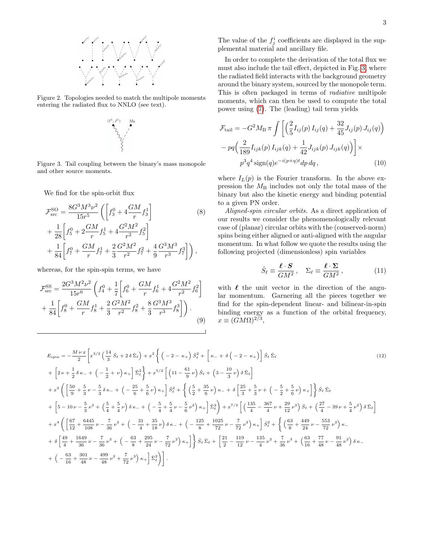

<span id="page-2-0"></span>Figure 2. Topologies needed to match the multipole moments entering the radiated flux to NNLO (see text).



<span id="page-2-1"></span>Figure 3. Tail coupling between the binary's mass monopole and other source moments.

We find for the spin-orbit flux

$$
\mathcal{F}_{\rm src}^{\rm SO} = \frac{8G^3 M^3 \nu^2}{15r^5} \left( \left[ f_3^0 + 4 \frac{GM}{r} f_3^1 \right] + \frac{1}{28} \left[ f_5^0 + 2 \frac{GM}{r} f_5^1 + 4 \frac{G^2 M^2}{r^2} f_5^2 \right] + \frac{1}{84} \left[ f_7^0 + \frac{GM}{r} f_7^1 + \frac{2}{3} \frac{G^2 M^2}{r^2} f_7^2 + \frac{4}{9} \frac{G^3 M^3}{r^3} f_7^3 \right] \right),
$$
\n(8)

whereas, for the spin-spin terms, we have

<span id="page-2-3"></span>
$$
\mathcal{F}_{\rm src}^{\rm SS} = \frac{2G^3 M^2 \nu^2}{15r^6} \left( f_4^0 + \frac{1}{7} \left[ f_6^0 + \frac{GM}{r} f_6^1 + 4 \frac{G^2 M^2}{r^2} f_6^2 \right] + \frac{1}{84} \left[ f_8^0 + \frac{GM}{r} f_8^1 + \frac{2}{3} \frac{G^2 M^2}{r^2} f_8^2 + \frac{8}{3} \frac{G^3 M^3}{r^3} f_8^3 \right] \right). \tag{9}
$$

The value of the  $f_j^i$  coefficients are displayed in the supplemental material and ancillary file.

In order to complete the derivation of the total flux we must also include the tail effect, depicted in Fig. [3,](#page-2-1) where the radiated field interacts with the background geometry around the binary system, sourced by the monopole term. This is often packaged in terms of radiative multipole moments, which can then be used to compute the total power using [\(7\)](#page-1-2). The (leading) tail term yields

$$
\mathcal{F}_{\text{tail}} = -G^2 M_{\text{B}} \pi \int \left[ \left( \frac{2}{5} I_{ij}(p) I_{ij}(q) + \frac{32}{45} J_{ij}(p) J_{ij}(q) \right) - pq \left( \frac{2}{189} I_{ijk}(p) I_{ijk}(q) + \frac{1}{42} J_{ijk}(p) J_{ijk}(q) \right) \right] \times
$$

$$
p^3 q^4 \operatorname{sign}(q) e^{-i(p+q)t} dp dq, \qquad (10)
$$

where  $I_L(p)$  is the Fourier transform. In the above expression the  $M<sub>B</sub>$  includes not only the total mass of the binary but also the kinetic energy and binding potential to a given PN order.

<span id="page-2-2"></span>Aligned-spin circular orbits. As a direct application of our results we consider the phenomenologically relevant case of (planar) circular orbits with the (conserved-norm) spins being either aligned or anti-aligned with the angular momentum. In what follow we quote the results using the following projected (dimensionless) spin variables

$$
\hat{S}_{\ell} \equiv \frac{\ell \cdot S}{GM^2}, \quad \Sigma_{\ell} \equiv \frac{\ell \cdot \Sigma}{GM^2}, \tag{11}
$$

with  $\ell$  the unit vector in the direction of the angular momentum. Garnering all the pieces together we find for the spin-dependent linear- and bilinear-in-spin binding energy as a function of the orbital frequency,  $x \equiv (GM\Omega)^{2/3},$ 

$$
E_{\text{spin}} = -\frac{M \nu x}{2} \left[ x^{3/2} \left( \frac{14}{3} \hat{S}_{\ell} + 2 \delta \hat{\Sigma}_{\ell} \right) + x^{2} \left\{ \left( -2 - \kappa_{+} \right) \hat{S}_{\ell}^{2} + \left[ \kappa_{-} + \delta \left( -2 - \kappa_{+} \right) \right] \hat{S}_{\ell} \hat{\Sigma}_{\ell} \right\}
$$
(12)  
+ 
$$
\left[ 2 \nu + \frac{1}{2} \delta \kappa_{-} + \left( -\frac{1}{2} + \nu \right) \kappa_{+} \right] \hat{\Sigma}_{\ell}^{2} \right\} + x^{5/2} \left[ \left( 11 - \frac{61}{9} \nu \right) \hat{S}_{\ell} + \left( 3 - \frac{10}{3} \nu \right) \delta \hat{\Sigma}_{\ell} \right]
$$
  
+ 
$$
x^{3} \left( \left[ \frac{50}{9} + \frac{5}{3} \nu - \frac{5}{3} \delta \kappa_{-} + \left( -\frac{25}{6} + \frac{5}{6} \nu \right) \kappa_{+} \right] \hat{S}_{\ell}^{2} + \left\{ \left( \frac{5}{2} + \frac{35}{6} \nu \right) \kappa_{-} + \delta \left[ \frac{25}{3} + \frac{5}{3} \nu + \left( -\frac{5}{2} + \frac{5}{6} \nu \right) \kappa_{+} \right] \right\} \hat{S}_{\ell} \hat{\Sigma}_{\ell}
$$
  
+ 
$$
\left[ 5 - 10 \nu - \frac{5}{3} \nu^{2} + \left( \frac{5}{4} + \frac{5}{4} \nu \right) \delta \kappa_{-} + \left( -\frac{5}{4} + \frac{5}{4} \nu - \frac{5}{6} \nu^{2} \right) \kappa_{+} \right] \hat{\Sigma}_{\ell}^{2} \right\} + x^{7/2} \left[ \left( \frac{135}{4} - \frac{367}{4} \nu + \frac{29}{12} \nu^{2} \right) \hat{S}_{\ell} + \left( \frac{27}{4} - 39 \nu + \frac{5}{4} \nu^{2} \right) \delta \hat{\Sigma}_{\ell} \right]
$$
  
+ 
$$
x^{4} \
$$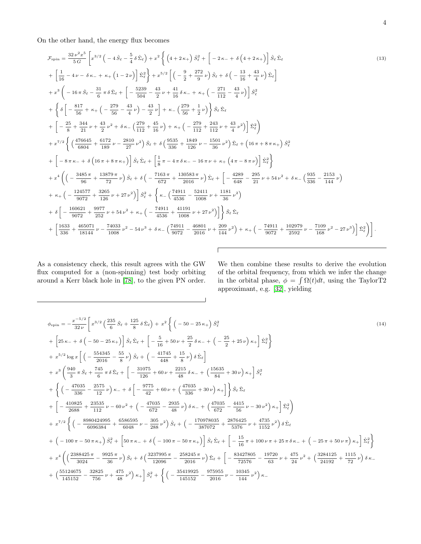On the other hand, the energy flux becomes

$$
\mathcal{F}_{\text{spin}} = \frac{32 \nu^2 x^5}{5 G} \left[ x^{3/2} \left( -4 \hat{S}_\ell - \frac{5}{4} \hat{S}_\ell \right) + x^2 \left\{ \left( 4 + 2 \kappa_+ \right) \hat{S}_\ell^2 + \left[ -2 \kappa_- + \delta \left( 4 + 2 \kappa_+ \right) \right] \hat{S}_\ell \hat{\Sigma}_\ell \right\} \right\}
$$
\n
$$
+ \left[ \frac{1}{16} - 4 \nu_- \delta \kappa_- + \kappa_+ \left( 1 - 2 \nu \right) \right] \hat{\Sigma}_\ell^2 \right\} + x^{5/2} \left[ \left( -\frac{9}{2} + \frac{272}{9} \nu \right) \hat{S}_\ell + \delta \left( -\frac{13}{16} + \frac{43}{4} \nu \right) \hat{\Sigma}_\ell \right]
$$
\n
$$
+ x^3 \left( -16 \pi \hat{S}_\ell - \frac{31}{6} \pi \delta \hat{\Sigma}_\ell + \left[ -\frac{5239}{504} - \frac{43}{2} \nu + \frac{41}{16} \delta \kappa_- + \kappa_+ \left( -\frac{271}{112} - \frac{43}{4} \nu \right) \right] \hat{S}_\ell^2 \right.
$$
\n
$$
+ \left\{ \delta \left[ -\frac{817}{56} + \kappa_+ \left( -\frac{279}{56} - \frac{43}{4} \nu \right) - \frac{43}{2} \nu \right] + \kappa_- \left( \frac{279}{56} + \frac{1}{2} \nu \right) \right\} \hat{S}_\ell \hat{\Sigma}_\ell \right.
$$
\n
$$
+ \left[ -\frac{25}{8} + \frac{344}{21} \nu + \frac{43}{2} \nu^2 + \delta \kappa_- \left( \frac{279}{112} + \frac{45}{16} \nu \right) + \kappa_+ \left( -\frac{279}{112} + \frac{243}{112} \nu + \frac{43}{4} \nu^2 \right) \right] \hat{\Sigma}_\ell^2 \right\}
$$
\n
$$
+ x^{7/2} \left\{ \left( \frac{476645
$$

 $\sqrt{ }$ 

┚

As a consistency check, this result agrees with the GW flux computed for a (non-spinning) test body orbiting around a Kerr black hole in [\[78\]](#page-15-1), to the given PN order.

We then combine these results to derive the evolution of the orbital frequency, from which we infer the change in the orbital phase,  $\phi = \int \Omega(t) dt$ , using the TaylorT2 approximant, e.g. [\[32\]](#page-13-9), yielding

$$
\phi_{\text{spin}} = -\frac{x^{-5/2}}{32\nu} \left[ x^{3/2} \left( \frac{235}{6} \hat{S}_{\ell} + \frac{125}{8} \delta \hat{\Sigma}_{\ell} \right) + x^2 \left\{ \left( -50 - 25 \kappa_{+} \right) \hat{S}_{\ell}^2 \right\} \right. \tag{14}
$$
\n
$$
+ \left[ 25 \kappa_{-} + \delta \left( -50 - 25 \kappa_{+} \right) \right] \hat{S}_{\ell} \hat{\Sigma}_{\ell} + \left[ -\frac{5}{16} + 50 \nu + \frac{25}{2} \delta \kappa_{-} + \left( -\frac{25}{2} + 25 \nu \right) \kappa_{+} \right] \hat{\Sigma}_{\ell}^2 \right\}
$$
\n
$$
+ x^5 / 2 \log x \left[ \left( -\frac{554345}{2016} - \frac{55}{8} \nu \right) \hat{S}_{\ell} + \left( -\frac{41745}{448} + \frac{15}{8} \nu \right) \delta \hat{\Sigma}_{\ell} \right]
$$
\n
$$
+ x^3 \left( \frac{940}{3} \pi \hat{S}_{\ell} + \frac{745}{6} \pi \delta \hat{\Sigma}_{\ell} + \left[ -\frac{31075}{126} + 60 \nu + \frac{2215}{48} \delta \kappa_{-} + \left( \frac{15635}{84} + 30 \nu \right) \kappa_{+} \right] \hat{S}_{\ell}^2
$$
\n
$$
+ \left\{ \left( -\frac{47035}{306} - \frac{2575}{12} \nu \right) \kappa_{-} + \delta \left[ -\frac{9775}{42} + 60 \nu + \left( \frac{47035}{38} + 30 \nu \right) \kappa_{+} \right] \right\} \hat{S}_{\ell} \hat{\Sigma}_{\ell}
$$
\n
$$
+ \left[ -\frac{410825}{2688} + \frac{23535}{112} \nu - 60 \nu^2 + \left( -\frac{47035}{672} - \frac{2935}{48} \nu \right) \delta \kappa_{-} + \left( \frac{4
$$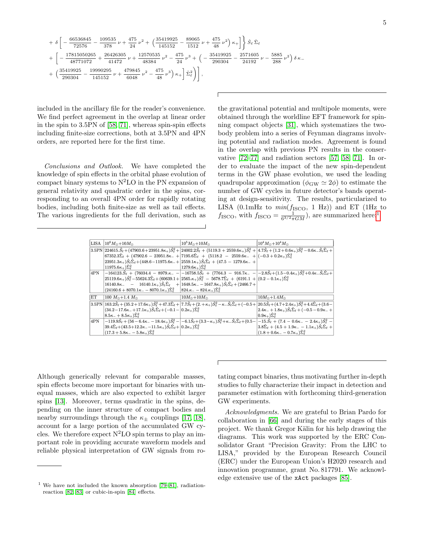$$
\left. +\ \delta\left[ -\frac{66536845}{72576} - \frac{109535}{378}\ \nu + \frac{475}{24}\ \nu^2 + \left(\frac{35419925}{145152} - \frac{89065}{1512}\ \nu + \frac{475}{48}\ \nu^2\right) \kappa_+\right] \right\} \hat{S}_\ell \, \hat{\Sigma}_\ell \nonumber \\ \left. + \ \left[ -\frac{17815050265}{48771072} + \frac{26426305}{41472}\ \nu + \frac{12570535}{48384}\ \nu^2 - \frac{475}{24}\ \nu^3 + \left(-\frac{35419925}{290304} - \frac{2571605}{24192}\ \nu - \frac{5885}{288}\ \nu^2\right) \delta \, \kappa_- \right. \\ \left. + \ \left(\frac{35419925}{290304} - \frac{19990295}{145152}\ \nu + \frac{479845}{6048}\ \nu^2 - \frac{475}{48}\ \nu^3\right) \kappa_+\right] \hat{\Sigma}_\ell^2 \bigg) \right] ,
$$

included in the ancillary file for the reader's convenience. We find perfect agreement in the overlap at linear order in the spin to 3.5PN of [\[58,](#page-14-4) [71\]](#page-14-13), whereas spin-spin effects including finite-size corrections, both at 3.5PN and 4PN orders, are reported here for the first time.

Conclusions and Outlook. We have completed the knowledge of spin effects in the orbital phase evolution of compact binary systems to  $N^2LO$  in the PN expansion of general relativity and quadratic order in the spins, corresponding to an overall 4PN order for rapidly rotating bodies, including both finite-size as well as tail effects. The various ingredients for the full derivation, such as the gravitational potential and multipole moments, were obtained through the worldline EFT framework for spinning compact objects [\[31\]](#page-13-8), which systematizes the twobody problem into a series of Feynman diagrams involving potential and radiation modes. Agreement is found in the overlap with previous PN results in the conservative [\[72–](#page-14-15)[77\]](#page-15-0) and radiation sectors [\[57,](#page-14-3) [58,](#page-14-4) [71\]](#page-14-13). In order to evaluate the impact of the new spin-dependent terms in the GW phase evolution, we used the leading quadrupolar approximation ( $\phi_{\rm GW} \simeq 2\phi$ ) to estimate the number of GW cycles in future detector's bands operating at design-sensitivity. The results, particularized to LISA (0.1mHz to  $min(f_{\text{ISCO}}, 1 \text{ Hz})$ ) and ET (1Hz to  $f_{\text{ISCO}}$ , with  $f_{\text{ISCO}} = \frac{1}{6^{3/2} \pi G M}$  $f_{\text{ISCO}} = \frac{1}{6^{3/2} \pi G M}$  $f_{\text{ISCO}} = \frac{1}{6^{3/2} \pi G M}$ , are summarized here:<sup>1</sup>

| LISA         | $10^6 M_{\odot} + 10 M_{\odot}$                                                                                                                                                                                                                             | $10^5 M_{\odot} + 10 M_{\odot}$                                                                                                                                                                                                                                                                                               | $10^4 M_{\odot} + 10^4 M_{\odot}$                                                                                                                                                                                                                                                                                                                                                         |
|--------------|-------------------------------------------------------------------------------------------------------------------------------------------------------------------------------------------------------------------------------------------------------------|-------------------------------------------------------------------------------------------------------------------------------------------------------------------------------------------------------------------------------------------------------------------------------------------------------------------------------|-------------------------------------------------------------------------------------------------------------------------------------------------------------------------------------------------------------------------------------------------------------------------------------------------------------------------------------------------------------------------------------------|
|              | $3.5\text{PN}\left[224615.\hat{S}_\ell+(47903.6+23951.8\kappa_+)\hat{S}_\ell^2+24002.2\hat{S}_\ell+(5119.3+2559.6\kappa_+)\hat{S}_\ell^2+\left[4.7\hat{S}_\ell+(1.2+0.6\kappa_+)\hat{S}_\ell^2-0.6\kappa_-\hat{S}_\ell\hat{\Sigma}_\ell+\right]+2.5\right]$ |                                                                                                                                                                                                                                                                                                                               |                                                                                                                                                                                                                                                                                                                                                                                           |
|              |                                                                                                                                                                                                                                                             | $67352.3\hat{\Sigma}_{\ell} + (47902.6 - 23951.8\kappa_{-} +  7195.6\hat{\Sigma}_{\ell} + (5118.2 - 2559.6\kappa_{-} +  (-0.3 + 0.2\kappa_{+})\hat{\Sigma}_{\ell}^{2})$                                                                                                                                                       |                                                                                                                                                                                                                                                                                                                                                                                           |
|              |                                                                                                                                                                                                                                                             | $(23951.3\kappa_+)\hat{S}_\ell\hat{\Sigma}_\ell+(448.6-11975.6\kappa_-+ 2559.1\kappa_+)\hat{S}_\ell\hat{\Sigma}_\ell+(47.5-1279.6\kappa_-+ 259.1\kappa_+ 259.6\kappa_-+ 259.1\kappa_+ 259.6\kappa_-+ 259.6\kappa_- 259.6\kappa_-+ 259.6\kappa_+ 259.6\kappa_- 259.6\kappa_- 259.6\kappa_- 259.6\kappa_- 259.6\kappa_- 259.6\$ |                                                                                                                                                                                                                                                                                                                                                                                           |
|              | $11975.6\kappa_{+}$ ) $\hat{\Sigma}_{\ell}^{2}$                                                                                                                                                                                                             | $1279.6\kappa_{+}$ ) $\hat{\Sigma}_{\ell}^{2}$                                                                                                                                                                                                                                                                                |                                                                                                                                                                                                                                                                                                                                                                                           |
| 4PN          |                                                                                                                                                                                                                                                             | $-164123.\hat{S}_{\ell} + (76034.4 - 8979.\kappa_- - (-16758.5\hat{S}_{\ell} + (7764.3 - 916.7\kappa_- - (-2.8\hat{S}_{\ell} + (1.5 - 0.4\kappa_+)\hat{S}_{\ell}^2 + 0.4\kappa_-\hat{S}_{\ell}\hat{\Sigma}_{\ell} +$                                                                                                          |                                                                                                                                                                                                                                                                                                                                                                                           |
|              |                                                                                                                                                                                                                                                             | $25119.6\kappa_+\hat{S}_{\ell}^2 - 55624.3\hat{\Sigma}_{\ell} + (60639.1 +  2565.\kappa_+\hat{S}_{\ell}^2 - 5678.7\hat{\Sigma}_{\ell} + (6191.1 +  (0.2 - 0.1\kappa_+\hat{\Sigma}_{\ell}^2$                                                                                                                                   |                                                                                                                                                                                                                                                                                                                                                                                           |
|              |                                                                                                                                                                                                                                                             | $16140.8\kappa$ $ 16140.1\kappa$ $\hat{S}_{\ell}\hat{\Sigma}_{\ell}$ $+$ $1648.5\kappa$ $ 1647.8\kappa$ $\hat{S}_{\ell}\hat{\Sigma}_{\ell}$ $+$ $(2466.7 +$                                                                                                                                                                   |                                                                                                                                                                                                                                                                                                                                                                                           |
|              | $(24160.6 + 8070.1\kappa - 8070.1\kappa_+) \hat{\Sigma}_{\ell}^2$ $ 824.\kappa - 824.\kappa_+) \hat{\Sigma}_{\ell}^2$                                                                                                                                       |                                                                                                                                                                                                                                                                                                                               |                                                                                                                                                                                                                                                                                                                                                                                           |
| EТ           | 100 $M_{\odot} + 1.4 M_{\odot}$                                                                                                                                                                                                                             | $10M_{\odot}+10M_{\odot}$                                                                                                                                                                                                                                                                                                     | $10M_{\odot}+1.4M_{\odot}$                                                                                                                                                                                                                                                                                                                                                                |
|              |                                                                                                                                                                                                                                                             |                                                                                                                                                                                                                                                                                                                               | $3.5\text{PN}$ $163.2\hat{S}_{\ell} + (35.2 + 17.6\kappa_{+})\hat{S}_{\ell}^{2} + 47.3\hat{\Sigma}_{\ell} +  7.7\hat{S}_{\ell} + (2. + \kappa_{+})\hat{S}_{\ell}^{2} - \kappa_{-}\hat{S}_{\ell}\hat{\Sigma}_{\ell} + (-0.5 +  20.5\hat{S}_{\ell} + (4.7 + 2.4\kappa_{+})\hat{S}_{\ell}^{2} + 4.4\hat{\Sigma}_{\ell} + (3.6 - 1.4\kappa_{-}\kappa_{-}\kappa_{-}\kappa_{-}\kappa_{-}\kappa$ |
|              | $(34.2-17.6\kappa_{-}+17.1\kappa_{+})\hat{S}_{\ell}\hat{\Sigma}_{\ell}+(-0.1-0.2\kappa_{+})\hat{\Sigma}_{\ell}^{2}$                                                                                                                                         |                                                                                                                                                                                                                                                                                                                               | $(2.4\kappa_-+1.8\kappa_+)\hat{S}_{\ell}\hat{\Sigma}_{\ell}+(-0.5-0.9\kappa_-+$                                                                                                                                                                                                                                                                                                           |
|              | $8.5\kappa_- + 8.5\kappa_+) \hat{\Sigma}_{\ell}^2$                                                                                                                                                                                                          |                                                                                                                                                                                                                                                                                                                               | $ 0.9\kappa_{+})\tilde{\Sigma}_{\ell}^{2}$                                                                                                                                                                                                                                                                                                                                                |
| $4\text{PN}$ |                                                                                                                                                                                                                                                             | $-119.9\hat{S}_{\ell} + (56 - 6.4\kappa - 18.4\kappa_+) \hat{S}_{\ell}^2 - \left(-6.1\hat{S}_{\ell} + (3.3 - \kappa_+)\hat{S}_{\ell}^2 + \kappa_-\hat{S}_{\ell}\hat{\Sigma}_{\ell} + (0.5 - (-15.\hat{S}_{\ell} + (7.4 - 0.6\kappa_- - 2.4\kappa_+)\hat{S}_{\ell}^2 - (-7.4 - 0.3\kappa_+)\hat{S}_{\ell}^2\right)$            |                                                                                                                                                                                                                                                                                                                                                                                           |
|              | $39.4\hat{\Sigma}_{\ell} + (43.5 + 12.2\kappa - 11.5\kappa_+) \hat{S}_{\ell} \hat{\Sigma}_{\ell} +  0.2\kappa_+ \rangle \hat{\Sigma}_{\ell}^2$                                                                                                              |                                                                                                                                                                                                                                                                                                                               | $3.8\hat{\Sigma}_{\ell} + (4.5 + 1.9\kappa_{-} - 1.1\kappa_{+})\hat{S}_{\ell}\hat{\Sigma}_{\ell} +$                                                                                                                                                                                                                                                                                       |
|              | $(17.3 + 5.8\kappa - 5.8\kappa_+) \hat{\Sigma}_i^2$                                                                                                                                                                                                         |                                                                                                                                                                                                                                                                                                                               | $(1.8+0.6\kappa_{-}-0.7\kappa_{+})\hat{\Sigma}_{\ell}^{2}$                                                                                                                                                                                                                                                                                                                                |

Although generically relevant for comparable masses, spin effects become more important for binaries with unequal masses, which are also expected to exhibit larger spins [\[13\]](#page-13-12). Moreover, terms quadratic in the spins, depending on the inner structure of compact bodies and nearby surroundings through the  $\kappa_{\pm}$  couplings [\[17,](#page-13-14) [18\]](#page-13-15), account for a large portion of the accumulated GW cycles. We therefore expect  $N^2LO$  spin terms to play an important role in providing accurate waveform models and reliable physical interpretation of GW signals from rotating compact binaries, thus motivating further in-depth studies to fully characterize their impact in detection and parameter estimation with forthcoming third-generation GW experiments.

Acknowledgments. We are grateful to Brian Pardo for collaboration in [\[66\]](#page-14-6) and during the early stages of this project. We thank Gregor Kälin for his help drawing the diagrams. This work was supported by the ERC Consolidator Grant "Precision Gravity: From the LHC to LISA," provided by the European Research Council (ERC) under the European Union's H2020 research and innovation programme, grant No. 817791. We acknowledge extensive use of the xAct packages [\[85\]](#page-15-7).

<span id="page-4-0"></span><sup>&</sup>lt;sup>1</sup> We have not included the known absorption  $[79-81]$  $[79-81]$ , radiationreaction [\[82,](#page-15-4) [83\]](#page-15-5) or cubic-in-spin [\[84\]](#page-15-6) effects.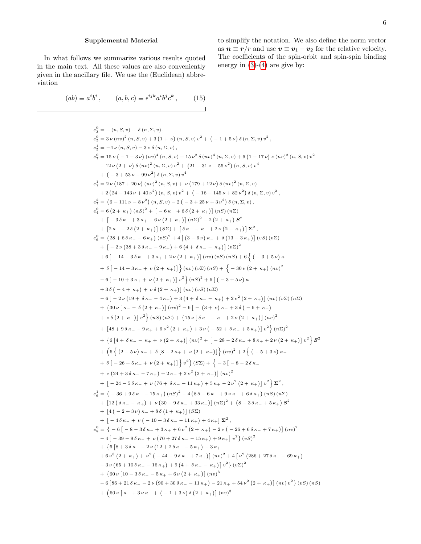## Supplemental Material

In what follows we summarize various results quoted in the main text. All these values are also conveniently given in the ancillary file. We use the (Euclidean) abbreviation

$$
(ab) \equiv a^i b^i, \qquad (a, b, c) \equiv \epsilon^{ijk} a^i b^j c^k, \qquad (15)
$$

to simplify the notation. We also define the norm vector as  $n \equiv r/r$  and use  $v \equiv v_1 - v_2$  for the relative velocity. The coefficients of the spin-orbit and spin-spin binding energy in  $(3)-(4)$  $(3)-(4)$  $(3)-(4)$  are give by:

e 0 <sup>3</sup> = − (n, S, v) − δ (n, Σ, v) , e 0 <sup>5</sup> = 3 ν (nv) 2 (n, S, v) + 3 1 + ν (n, S, v) v <sup>2</sup> + − 1 + 5 ν δ (n, Σ, v) v 2 , e 1 <sup>5</sup> = −4 ν (n, S, v) − 3 ν δ (n, Σ, v) , e 0 <sup>7</sup> = 15 ν − 1 + 3 ν (nv) 4 (n, S, v) + 15 ν 2 δ (nv) 4 (n, Σ, v) + 6 1 − 17 ν ν (nv) 2 (n, S, v) v 2 − 12 ν 2 + ν δ (nv) 2 (n, Σ, v) v <sup>2</sup> + 21 − 31 ν − 55 ν 2 (n, S, v) v 4 + − 3 + 53 ν − 99 ν 2 δ (n, Σ, v) v 4 e 1 <sup>7</sup> = 2 ν 187 + 20 ν (nv) 2 (n, S, v) + ν 179 + 12 ν δ (nv) 2 (n, Σ, v) + 2 24 − 143 ν + 40 ν 2 (n, S, v) v <sup>2</sup> + − 16 − 145 ν + 82 ν 2 δ (n, Σ, v) v 2 , e 2 <sup>7</sup> = 6 − 111 ν − 8 ν 2 (n, S, v) − 2 − 3 + 25 ν + 3 ν 2 δ (n, Σ, v) , e 0 <sup>4</sup> = 6 2 + κ<sup>+</sup> (nS) <sup>2</sup> + -− 6 κ<sup>−</sup> + 6 δ 2 + κ<sup>+</sup> (nS) (nΣ) + -− 3 δ κ<sup>−</sup> + 3 κ<sup>+</sup> − 6 ν 2 + κ<sup>+</sup> (nΣ)<sup>2</sup> − 2 2 + κ<sup>+</sup> S 2 + -2 κ<sup>−</sup> − 2 δ 2 + κ<sup>+</sup> (SΣ) + δ κ<sup>−</sup> − κ<sup>+</sup> + 2 ν 2 + κ<sup>+</sup> Σ 2 , e 0 <sup>6</sup> = 28 + 6 δ κ<sup>−</sup> − 6 κ<sup>+</sup> (vS) <sup>2</sup> + 4 - 3 − 6 ν κ<sup>−</sup> + δ 13 − 3 κ<sup>+</sup> (vS) (vΣ) + -− 2 ν 38 + 3 δ κ<sup>−</sup> − 9 κ<sup>+</sup> + 6 4 + δ κ<sup>−</sup> − κ<sup>+</sup> (vΣ)<sup>2</sup> + 6 -− 14 − 3 δ κ<sup>−</sup> + 3 κ<sup>+</sup> + 2 ν 2 + κ<sup>+</sup> (nv) (vS) (nS) + 6 n − 3 + 5 ν κ<sup>−</sup> + δ -− 14 + 3 κ<sup>+</sup> + ν 2 + κ<sup>+</sup> o (nv) (vΣ) (nS) + n − 30 ν 2 + κ<sup>+</sup> (nv) 2 − 6 -− 10 + 3 κ<sup>+</sup> + ν 2 + κ<sup>+</sup> v 2 o (nS) <sup>2</sup> + 6 - − 3 + 5 ν κ<sup>−</sup> + 3 δ − 4 + κ<sup>+</sup> + ν δ 2 + κ<sup>+</sup> (nv) (vS) (nΣ) − 6 -− 2 ν 19 + δ κ<sup>−</sup> − 4 κ<sup>+</sup> + 3 4 + δ κ<sup>−</sup> − κ<sup>+</sup> + 2 ν 2 2 + κ<sup>+</sup> (nv) (vΣ) (nΣ) + 30 ν κ<sup>−</sup> − δ 2 + κ<sup>+</sup> (nv) <sup>2</sup> − 6 -− 3 + ν κ<sup>−</sup> + 3 δ − 6 + κ<sup>+</sup> + ν δ 2 + κ<sup>+</sup> v 2 o (nS) (nΣ) + 15 ν δ κ<sup>−</sup> − κ<sup>+</sup> + 2 ν 2 + κ<sup>+</sup> (nv) 2 + -48 + 9 δ κ<sup>−</sup> − 9 κ<sup>+</sup> + 6 ν 2 2 + κ<sup>+</sup> + 3 ν − 52 + δ κ<sup>−</sup> + 5 κ<sup>+</sup> v 2 o (nΣ)<sup>2</sup> + 6 -4 + δ κ<sup>−</sup> − κ<sup>+</sup> + ν 2 + κ<sup>+</sup> (nv) <sup>2</sup> + -− 28 − 2 δ κ<sup>−</sup> + 8 κ<sup>+</sup> + 2 ν 2 + κ<sup>+</sup> v 2 o S 2 + 6 n 2 − 5 ν κ<sup>−</sup> + δ -8 − 2 κ<sup>+</sup> + ν 2 + κ<sup>+</sup> o (nv) <sup>2</sup> + 2 n − 5 + 3 ν κ<sup>−</sup> + δ -− 26 + 5 κ<sup>+</sup> + ν 2 + κ<sup>+</sup> o v 2 (SΣ) + n − 3 -− 8 − 2 δ κ<sup>−</sup> + ν 24 + 3 δ κ<sup>−</sup> − 7 κ<sup>+</sup> + 2 κ<sup>+</sup> + 2 ν 2 2 + κ<sup>+</sup> (nv) 2 + -− 24 − 5 δ κ<sup>−</sup> + ν 76 + δ κ<sup>−</sup> − 11 κ<sup>+</sup> + 5 κ<sup>+</sup> − 2 ν 2 2 + κ<sup>+</sup> v 2 o Σ 2 , e 1 <sup>6</sup> = − 36 + 9 δ κ<sup>−</sup> − 15 κ<sup>+</sup> (nS) <sup>2</sup> − 4 8 δ − 6 κ<sup>−</sup> + 9 ν κ<sup>−</sup> + 6 δ κ<sup>+</sup> (nS) (nΣ) + -12 δ κ<sup>−</sup> − κ<sup>+</sup> + ν 30 − 9 δ κ<sup>−</sup> + 33 κ<sup>+</sup> (nΣ)<sup>2</sup> + 8 − 3 δ κ<sup>−</sup> + 5 κ<sup>+</sup> S 2 + -4 − 2 + 3 ν κ<sup>−</sup> + 8 δ 1 + κ<sup>+</sup> (SΣ) + -− 4 δ κ<sup>−</sup> + ν − 10 + 3 δ κ<sup>−</sup> − 11 κ<sup>+</sup> + 4 κ<sup>+</sup> Σ 2 , e 0 <sup>8</sup> = − 6 -− 8 − 3 δ κ<sup>−</sup> + 3 κ<sup>+</sup> + 6 ν 2 2 + κ<sup>+</sup> − 2 ν − 26 + 6 δ κ<sup>−</sup> + 7 κ<sup>+</sup> (nv) 2 − 4 -− 39 − 9 δ κ<sup>−</sup> + ν 70 + 27 δ κ<sup>−</sup> − 15 κ<sup>+</sup> + 9 κ<sup>+</sup> v <sup>2</sup> (vS) 2 + 6 -8 + 3 δ κ<sup>−</sup> − 2 ν 12 + 2 δ κ<sup>−</sup> − 5 κ<sup>+</sup> − 3 κ<sup>+</sup> + 6 ν 3 2 + κ<sup>+</sup> + ν 2 − 44 − 9 δ κ<sup>−</sup> + 7 κ<sup>+</sup> (nv) <sup>2</sup> + 4 ν 2 286 + 27 δ κ<sup>−</sup> − 69 κ<sup>+</sup> − 3 ν 65 + 10 δ κ<sup>−</sup> − 16 κ<sup>+</sup> + 9 4 + δ κ<sup>−</sup> − κ<sup>+</sup> v <sup>2</sup> (vΣ)<sup>2</sup> + 60 ν -10 − 3 δ κ<sup>−</sup> − 5 κ<sup>+</sup> + 6 ν 2 + κ<sup>+</sup> (nv) 3 − 6 -86 + 21 δ κ<sup>−</sup> − 2 ν 90 + 30 δ κ<sup>−</sup> − 11 κ<sup>+</sup> − 21 κ<sup>+</sup> + 54 ν 2 2 + κ<sup>+</sup> (nv) v <sup>2</sup> (vS) (nS) + 60 ν κ<sup>−</sup> + 3 ν κ<sup>−</sup> + − 1 + 3 ν δ 2 + κ<sup>+</sup> (nv) 3

 $\overline{\phantom{0}}$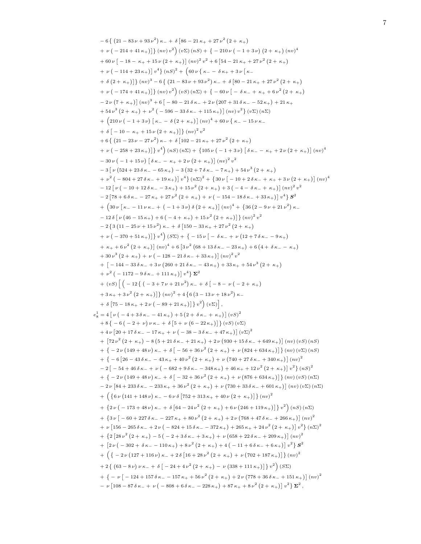```
-6\{ (21 - 83 \nu + 93 \nu^2) \kappa + \delta [86 - 21 \kappa + 27 \nu^2 (2 + \kappa + 1)]+ \nu \left( -214 + 41 \kappa_+ \right) \left[ \right] (nv) v^2 \left( v \Sigma \right) (nS) + \left\{ -210 \nu \left( -1 + 3 \nu \right) \left( 2 + \kappa_+ \right) (nv)^4 \right\}+ 60 \nu \left[ -18 - \kappa_{+} + 15 \nu \left( 2 + \kappa_{+} \right) \right] \left( n\nu \right)^{2} v^{2} + 6 \left[ 54 - 21 \kappa_{+} + 27 \nu^{2} \left( 2 + \kappa_{+} \right) \right]+ \nu \left(-114 + 23 \,\kappa_{+}\right) \left[v^4\right] \left(nS\right)^2 + \left(60 \,\nu \left\{\kappa_{-} - \delta \,\kappa_{+} + 3 \,\nu \left[\,\kappa_{-}\right.\right.\right)+ \delta (2 + \kappa_+)} \{ (nv)^3 - 6 \{ (21 - 83 \nu + 93 \nu^2) \kappa_- + \delta [80 - 21 \kappa_+ + 27 \nu^2 (2 + \kappa_+) \}+ v (-174 + 41 \kappa+)] {(nv) v^2} (vS) (n\Sigma) + {-60 v [- \delta \kappa- + \kappa+ + 6 v<sup>2</sup> (2 + \kappa+)
     -2\nu\left(7+\kappa_{+}\right)\right] (nv)^{3}+6\left[-80-21\,\delta\,\kappa_{-}+2\,\nu\left(207+31\,\delta\,\kappa_{-}-52\,\kappa_{+}\right)+21\,\kappa_{+}+ 54 \nu^3 (2 + \kappa_+) + \nu^2 (-596 - 33 \delta \kappa_- + 115 \kappa_+)] (nv) v^2 (v \Sigma) (n \Sigma)+\left(210\,\nu\,\big(-1+3\,\nu\big)\,\big[\,\kappa_- -\,\delta\,\big(2+\,\kappa_+\big)\big]\, \big(nv\big)^4 +60\,\nu\,\{\,\kappa_- -15\,\nu\,\kappa_-\}+ \delta \left[ -10 - \kappa_+ + 15 \nu \left( 2 + \kappa_+ \right) \right] \} \left( n v \right)^2 v^2+ 6 \{ (21 - 23 \nu - 27 \nu^2) \kappa + \delta [102 - 21 \kappa + 27 \nu^2 (2 + \kappa + 1)]+ \nu \left( -258 + 23 \,\kappa_{+} \right) \big] \, v^4 \Big) \, (nS) \, (n\Sigma) + \{ 105 \, \nu \left( -1 + 3 \, \nu \right) \big[ \, \delta \, \kappa_{-} - \kappa_{+} + 2 \, \nu \left( 2 + \kappa_{+} \right) \big] \, (n\upsilon)^4-30\nu(-1+15\nu)\left[\delta\kappa_--\kappa_++2\nu(2+\kappa_+)\right](nv)^2v^2-3\left[\nu\left(524+23\,\delta\,\kappa_-\right)-3\left(32+7\,\delta\,\kappa_-\right)-7\,\kappa_+\right)+54\,\nu^3\left(2+\,\kappa_+\right)+\nu^2 ( -804 + 27 \delta \kappa_- + 19 \kappa_+) \left[v^4\right] (n\Sigma)^2 + \left\{30 \nu \left[ -10 + 2 \delta \kappa_- + \kappa_+ + 3 \nu \left(2 + \kappa_+\right) \right] (nv)^4\right\}-12\left[\nu\left(-10+12\,\delta\,\kappa_--3\,\kappa_+\right)+15\,\nu^2\left(2+\,\kappa_+\right)+3\left(-4-\,\delta\,\kappa_-+\,\kappa_+\right)\right]\left(nv\right)^2v^2-2\left[78+6\,\delta\,\kappa_--27\,\kappa_+ +27\,\nu^2\,\big(2+\,\kappa_+\big)+ \nu\,\big(-154-18\,\delta\,\kappa_- +33\,\kappa_+\big)\right]\,v^4\big\}\,{\bm S}^2+\left( 30\,\nu\left[ \,\kappa_- -11\,\nu\,\kappa_- +\, \left( \,-1+3\,\nu \right) \delta \left( 2+\,\kappa_+ \right) \right] \left( n v \right)^4 +\, \left\{ 36 \left( 2-9\,\nu+21\,{\nu}^{2} \right) \kappa_- \right. \nonumber-12\delta\left[\nu\left(46-15\,\kappa_{+}\right)+6\left(-4+\,\kappa_{+}\right)+15\,\nu^{2}\left(2+\,\kappa_{+}\right)\right]\right]\left(nv\right)^{2}v^{2}-2\{3(11-25\nu+15\nu^2)\kappa_-+\delta[150-33\kappa_+ +27\nu^2(2+\kappa_+)]+ \nu (-370 + 51 \kappa<sub>+</sub>)] v^4) (SS) + {-15 \nu [- \delta \kappa + \nu (12 + 7 \delta \kappa - - 9 \kappa +)
     + \kappa_{+} + 6 \nu^{2} (2 + \kappa_{+}) (\nu v)^{4} + 6 \left[3 \nu^{2} (68 + 13 \delta \kappa_{-} - 23 \kappa_{+}) + 6 (4 + \delta \kappa_{-} - \kappa_{+})\right]+30\nu^3(2+\kappa_+) + \nu(-128 - 21\delta\kappa_- + 33\kappa_+)](nv)^2v^2+ \left[ -144 - 33 \delta \kappa_- + 3 \nu \left( 260 + 21 \delta \kappa_- - 43 \kappa_+ \right) + 33 \kappa_+ + 54 \nu^3 \left( 2 + \kappa_+ \right) \right]+ \nu^2 (-1172 - 9 \delta \kappa_- + 111 \kappa_+ ) \psi^4 \Sigma^2+(vS)\left[\left(-12\left\{(-3+7\nu+21\nu^2\right)\kappa_{-}+\delta\left[-8-\nu\left(-2+\kappa_{+}\right)\right.\right.\right.+3\,\kappa_{+}+3\,\nu^{2}\,\left(2+\,\kappa_{+}\right)] } \left(nv\right)^{2}+4\,\left\{6\,\left(3-13\,\nu+18\,\nu^{2}\right)\kappa_{-}\right\}+ \delta \left[ 75 - 18 \kappa_+ + 2 \nu \left( -89 + 21 \kappa_+ \right) \right] \right\} v^2 \bigg) (v \Sigma) \bigg]e_8^1 = 4 \left[ \nu \left( -4 + 3 \delta \kappa_- - 41 \kappa_+ \right) + 5 \left( 2 + \delta \kappa_- + \kappa_+ \right) \right] \left( vS \right)^2+ 8 \{-6 (-2 + \nu) \nu \kappa_- + \delta [5 + \nu (6 - 22 \kappa_+)] \} (\nu S) (\nu \Sigma)+ 4 \nu [20 + 17 \delta \kappa_- - 17 \kappa_+ + \nu (-38 - 3 \delta \kappa_- + 47 \kappa_+)] (\nu \Sigma)^2+ \left[72 \nu^2 (2 + \kappa_+) - 8 (5 + 21 \delta \kappa_- + 21 \kappa_+) + 2 \nu (930 + 15 \delta \kappa_- + 649 \kappa_+) \right] (nv) (vS) (nS)+ { - 2 v (149 + 48 v) \kappa + + \delta [ - 56 + 36 v<sup>2</sup> (2 + \kappa + ) + v (824 + 634 \kappa + )]} (nv) (v \) (n S)
     +\left(-6\left[26-43\,\delta\,\kappa_{-}-43\,\kappa_{+}+40\,\nu^2\left(2+\,\kappa_{+}\right)+\,\nu\left(740+27\,\delta\,\kappa_{-}+340\,\kappa_{+}\right)\right]\left(nv\right)^2\right.-2\left[-54+46\,\delta\,\kappa_{-}+\nu\,\left(-682+9\,\delta\,\kappa_{-}-348\,\kappa_{+}\right)+46\,\kappa_{+}+12\,\nu^2\left(2+\,\kappa_{+}\right)\right]\,v^2\right\}\,(\textit{nS})^2+ { - 2 v (149 + 48 v) \kappa + + \delta [ - 32 + 36 v<sup>2</sup> (2 + \kappa + ) + v (876 + 634 \kappa + )]} (nv) (vS) (n \)
     -2\nu [84 + 233 \delta \kappa_- - 233 \kappa_+ + 36 \nu^2 (2 + \kappa_+) + \nu (730 + 33 \delta \kappa_- + 601 \kappa_+)] (nv) (v \Sigma) (n \Sigma)+\left( \{6\,\nu\,\left(141+148\,\nu\right)\kappa_- -6\,\nu\,\delta\,\left[752+313\,\kappa_+ +40\,\nu\,\left(2+\,\kappa_+\right)\right]\right\} (nv)^2+ {2\nu (-173 + 48 \nu) \kappa + 6 [64 - 24 \nu<sup>2</sup> (2 + \kappa +) + 6 \nu (246 + 119 \kappa +)] } v<sup>2</sup>) (nS) (nS)
     + \{3 \nu \big[-60 + 227 \delta \kappa_- - 227 \kappa_+ + 80 \nu^2 (2 + \kappa_+) + 2 \nu (768 + 47 \delta \kappa_- + 266 \kappa_+) \big] (nv)^2+ ν [156 – 265 δ κ - + 2 ν ( – 824 + 15 δ κ - - 372 κ + ) + 265 κ + + 24 ν<sup>2</sup> (2 + κ + )] v^2} (n\Sigma)<sup>2</sup>
     + {2 [28 \nu^2 (2 + \kappa_+) - 5 (-2 + 3 \delta \kappa_- + 3 \kappa_+) + \nu (658 + 22 \delta \kappa_- + 209 \kappa_+)] (nv)^2+\left[2\,\nu\,\big(-302+\delta\,\kappa_--110\,\kappa_+\big)+8\,\nu^{\textstyle 2}\left(2+\,\kappa_+\right)+4\,\big(-11+6\,\delta\,\kappa_-+6\,\kappa_+\big)\right]\,v^{\textstyle 2}\right\}\,\mathbf{S}^{\textstyle 2}+ \left( \{ -2\nu (127+116 \nu) \kappa_- + 2 \delta [16+28 \nu^2 (2+\kappa_+) + \nu (702+187 \kappa_+ ) ] \} (nv)^2 \right.+ 2 \left\{ \left( 63 - 8 \nu \right) \nu \kappa_- + \delta \left[ -24 + 4 \nu^2 (2 + \kappa_+) - \nu \left( 338 + 111 \kappa_+ \right) \right] \right\} v^2 \right) (S\Sigma)+ { - \nu [ - 124 + 157 δ κ - - 157 κ + + 56 \nu^2 (2 + κ + ) + 2 \nu (778 + 36 δ κ - + 151 κ + )] (n\nu)^2- ν [108 − 87δκ<sub>−</sub> + ν ( − 808 + 6δκ<sub>−</sub> − 228κ<sub>+</sub>) + 87κ<sub>+</sub> + 8ν<sup>2</sup> (2 + κ<sub>+</sub>)] v<sup>2</sup>} \Sigma<sup>2</sup>,
```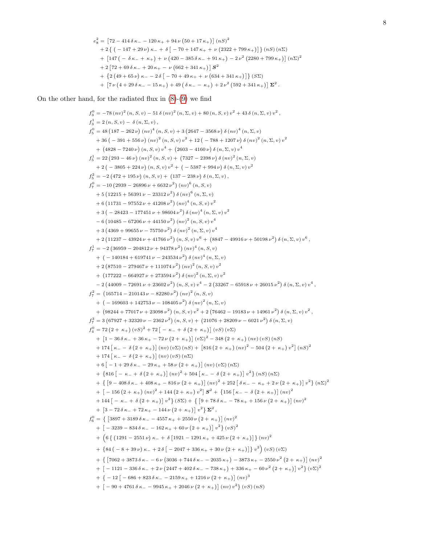$$
e_8^2 = [72 - 414 \delta \kappa_- - 120 \kappa_+ + 94 \nu (50 + 17 \kappa_+)] (\kappa S)^2
$$
  
+ 2 { (-147 + 29 \nu) \kappa\_- + \delta [-70 + 147 \kappa\_+ + \nu (2322 + 799 \kappa\_+)] } (\kappa S) (\kappa \Sigma)  
+ [147 (- \delta \kappa\_- + \kappa\_+) + \nu (420 - 385 \delta \kappa\_- + 91 \kappa\_+) - 2 \nu^2 (2280 + 799 \kappa\_+)] (\kappa \Sigma)^2  
+ 2 [72 + 69 \delta \kappa\_- + 20 \kappa\_+ - \nu (662 + 341 \kappa\_+)] **S**<sup>2</sup>  
+ { 2 (49 + 65 \nu) \kappa\_- - 2 \delta [-70 + 49 \kappa\_+ + \nu (634 + 341 \kappa\_+)] } (S\Sigma)  
+ [7 \nu (4 + 29 \delta \kappa\_- - 15 \kappa\_+) + 49 (\delta \kappa\_- - \kappa\_+) + 2 \nu^2 (592 + 341 \kappa\_+)] **\Sigma**<sup>2</sup>.

On the other hand, for the radiated flux in  $(8)-(9)$  $(8)-(9)$  $(8)-(9)$  we find

$$
f_3^0 = -78 (nv)^2 (n, S, v) -51 \delta (nv)^2 (n, \Sigma, v) +80 (n, S, v) v^2 +43 \delta (n, \Sigma, v) v^2,
$$
  
\n
$$
f_3^1 = 2 (n, S, v) -5 (n, \Sigma, v),
$$
  
\n
$$
f_3^1 = 48 (87 - 262 \nu) (nv)^4 (n, S, v) +3 (2647 - 3568 \nu) \delta (nv)^4 (n, \Sigma, v)
$$
  
\n
$$
+86 (-305 + 224 \nu) (n, S, v) v^4 + (2603 - 4160 \nu) \delta (n, \Sigma, v) v^4
$$
  
\n
$$
+48 (2 - 3805 + 224 \nu) (n, S, v) v^4 + (2603 - 4160 \nu) \delta (n, \Sigma, v) v^4
$$
  
\n
$$
+2 (2 - 3805 + 224 \nu) (n, S, v) v^2 + (-3357 + 994 \nu) \delta (n, \Sigma, v) v^2
$$
  
\n
$$
+2 (2 - 3805 + 224 \nu) (n, S, v) v^2 + (357 - 238 \nu) \delta (nv)^2 (n, \Sigma, v)
$$
  
\n
$$
f_5^2 = -2 (472 + 195 \nu) (n, S, v) + (737 - 238 \nu) \delta (n, \Sigma, v) v^2
$$
  
\n
$$
f_6^2 = -10 (2339 - 28896 \nu + 6632 \nu^2) (nw)^6 (n, S, v)
$$
  
\n
$$
+5 (12215 + 56391 \nu - 23312 \nu^2) \delta (nw)^6 (n, \Sigma, v) v^3
$$
  
\n
$$
+3 (2486 + 99655 \nu - 75750 \nu^2) \delta (nw)^6 (n, S, v) v^4
$$
  
\n
$$
+3 (2489 + 99655 \nu - 75750 \nu^2) \delta (nw)^2 (n, S, v) v^4
$$
  
\n
$$
+2 (11237 - 4392
$$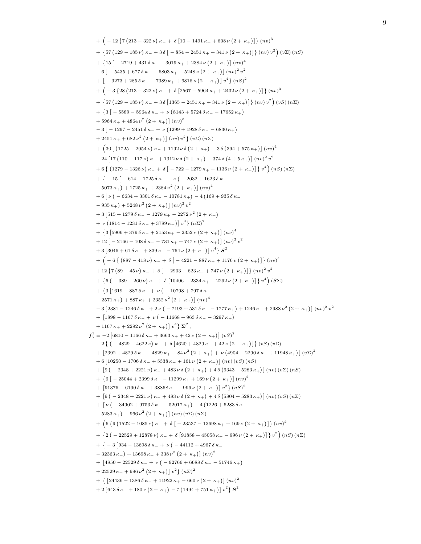```
+ \left(-12\left\{7\left(213-322\nu\right)\kappa_{-}+\delta\left[10-1491\kappa_{+}+608\nu\left(2+\kappa_{+}\right)\right]\right\}\left(nv\right)^{3}+ {57 (129 - 185 \nu) \kappa - + 3 \delta [ - 854 - 2451 \kappa + + 341 \nu (2 + \kappa + )]} (nv) v^2) (v\Sigma) (nS)
     + \{15\left[-2719+431\delta\,\kappa_-\right. -3019\,\kappa_+ +2384\,\nu\,\left(2+\kappa_+\right)\right]\left(nv\right)^4-6[-5435 + 677 \delta \kappa_- - 6803 \kappa_+ + 5248 \nu (2 + \kappa_+)] (nv)^2 v^2+ \left[ -3273 + 285 \delta \kappa_- - 7389 \kappa_+ + 6816 \nu (2 + \kappa_+) \right] v^4 (nS)^2+\left(-3\left\{ 28\left(213-322\nu\right)\kappa_-+\delta\left[2567-5964\kappa_++2432\nu\left(2+\kappa_+\right)\right]\right\} \left(nv\right)^3+ {57 (129 – 185 \nu) \kappa – + 3 \delta [1365 – 2451 \kappa + + 341 \nu (2 + \kappa + )]} (nv) v^2) (vS) (n \)
     + {3 | − 5589 − 5964 δ κ<sub>−</sub> + ν (8143 + 5724 δ κ<sub>−</sub> − 17652 κ<sub>+</sub>)
     +5964 \kappa_+ +4864 \nu^2 (2+\kappa_+)] (nv)^3-3 \left[ -1297 - 2451 \delta \kappa_- + \nu \left( 1299 + 1928 \delta \kappa_- - 6830 \kappa_+ \right) \right]+ 2451 \kappa_+ + 682 \nu^2 (2 + \kappa_+ ) (nv) v^2 (v \Sigma) (n \Sigma)+\ \left(30 \left[\ \left(1725 - 2054 \,\nu\right)\kappa_- + 1192 \,\nu\,\delta\left(2 + \,\kappa_+\right) - 3 \,\delta\left(394 + 575 \,\kappa_+\right)\right] \left(nv\right)^4\right.- 24 \left[ 17 \left( 110 - 117 \nu \right) \kappa_- + 1312 \nu \delta \left( 2 + \kappa_+ \right) - 374 \delta \left( 4 + 5 \kappa_+ \right) \right] \left( n v \right)^2 v^2+ 6 \{ (1279 - 1326 \nu) \kappa_- + \delta \left[ -722 - 1279 \kappa_+ + 1136 \nu (2 + \kappa_+) \right] \} v^4 \big) (nS) (n\Sigma)+ { − 15 | − 614 − 1725 δ κ − + ν ( − 2032 + 1623 δ κ −
     -5073 \kappa_+ + 1725 \kappa_+ + 2384 \nu^2 (2 + \kappa_+) |(nv)^4+ 6 \left[ \nu \left( -6634 + 3301 \delta \kappa_- - 10781 \kappa_+ \right) - 4 \left( 169 + 935 \delta \kappa_- \right) \right]-935\,\kappa_{+}\big)+5248\,\nu^2\,\big(2+\,\kappa_{+}\big)\big]\, \big(nv\big)^2\,v^2+3\left[515+1279\,\delta\,\kappa_{-}-1279\,\kappa_{+}-2272\,\nu^2\left(2+\,\kappa_{+}\right)\right]+ \nu \left( 1814 - 1231 \delta \kappa_- + 3789 \kappa_+ \right) \left[ v^4 \right] \left( n\Sigma \right)^2+\left[3\left[5906+379\,\delta\,\kappa_-+2153\,\kappa_+ -2352\,\nu\left(2+\,\kappa_+\right)\right]\left(nv\right)^4\right]+ 12 \left[ -2166 - 108 \delta \kappa_- - 731 \kappa_+ + 747 \nu \left(2 + \kappa_+\right) \right] \left(n v\right)^2 v^2+3[3046+61 \delta \kappa_- + 839 \kappa_+ - 764 \nu (2 + \kappa_+)] v^4 s^2+\left(-6\left\{\left(887-418 \nu\right) \kappa_-+\delta\left[\right.\right.\right.\right.\left.-4221-887 \kappa_+ +1176 \nu\left(2+\kappa_+\right)\right]\right\} \left(nv\right)^4+ 12 \left\{ 7 \left( 89 - 45 \nu \right) \kappa_- + \delta \left[ -2903 - 623 \kappa_+ + 747 \nu \left( 2 + \kappa_+ \right) \right] \right\} (nv)^2 v^2+ {6 ( - 389 + 260 \nu) \kappa - + δ [10406 + 2334 \kappa + - 2292 \nu (2 + \kappa +)]} v^4) (S \)
     + \{3\,[1619-887 \delta \kappa_- + \nu (-10798+797 \delta \kappa_--2571\,\kappa_{+}) + 887\,\kappa_{+} + 2352\,\nu^2\,\left(2+\,\kappa_{+}\right)\right]\left(nv\right)^4-3[2381 - 1246 \delta \kappa_- + 2 \nu ( -7193 + 531 \delta \kappa_- - 1777 \kappa_+) + 1246 \kappa_+ + 2988 \nu^2 (2 + \kappa_+)] (nv)^2 v^2+ \left[1898 - 1167 \delta \kappa_- + \nu \left(-11668 + 963 \delta \kappa_- - 3297 \kappa_+\right)\right]+ 1167 \kappa_+ + 2292 \nu^2 (2 + \kappa_+ ) v^4 \Sigma^2f_6^1 = −2 [6810 − 1166 δ κ<sub>−</sub> + 3663 κ<sub>+</sub> + 42 ν (2 + κ<sub>+</sub>)] (vS)<sup>2</sup>
     -2\{(-4829+4622\nu)\kappa_{-} + \delta[4620+4829\kappa_{+} + 42\nu(2+\kappa_{+})]\}(\nu S)(\nu \Sigma)+ \left[2392 + 4829 \delta \kappa_- - 4829 \kappa_+ + 84 \nu^2 (2 + \kappa_+) + \nu (4904 - 2290 \delta \kappa_- + 11948 \kappa_+) \right] (\nu \Sigma)^2+ 6 [10250 - 1706 \delta \kappa_- + 5338 \kappa_+ + 161 \nu (2 + \kappa_+)] (nv) (vS) (nS)+ [9(-2348 + 2221 \nu) \kappa_- + 483 \nu \delta (2 + \kappa_+) + 4 \delta (6343 + 5283 \kappa_+)] (nv) (v \Sigma) (nS)+ \{6[-25044 + 2399 \delta \kappa_- - 11299 \kappa_+ + 169 \nu (2 + \kappa_+)] (nv)^2\}+ [91376 - 6190 \delta \kappa_- + 38868 \kappa_+ - 996 \nu (2 + \kappa_+)] v^2 (nS)^2+ [9(-2348 + 2221 \nu) \kappa_- + 483 \nu \delta (2 + \kappa_+) + 4 \delta (5804 + 5283 \kappa_+)] (nv) (vS) (n\Sigma)+ [ν ( − 34902 + 9753 δ κ<sub>−</sub> − 52017 κ<sub>+</sub>) − 4 (1226 + 5283 δ κ<sub>−</sub>
     -5283 \kappa_+ - 966 \nu^2 (2 + \kappa_+)[(nv)(v\Sigma)(n\Sigma)]+\left( 6 \left\{ 9 \left( 1522 - 1085 \, \nu \right) \kappa_- + \delta \left[ -23537 - 13698 \, \kappa_+ + 169 \, \nu \left( 2 + \, \kappa_+ \right) \right] \right\} \left( n v \right)^2+ {2 ( - 22529 + 12878 \nu) \kappa - + δ [91858 + 45058 \kappa + - 996 \nu (2 + \kappa +)]} v^2) (nS) (nS)
     + { − 3 \left[934 - 13698 \delta \kappa_- + \nu \right. ( − 44112 + 4967 δ\kappa_--32363\,\kappa_{+}\, + 13698\,\kappa_{+} + 338\,\nu^2\,\left(2+\,\kappa_{+}\right)\right]\,\left(nv\right)^2+ \left[4850 - 22529 \delta \kappa_- + \nu \left(-92766 + 6688 \delta \kappa_- - 51746 \kappa_+\right)\right]+ 22529 \kappa_+ + 996 \nu^2 (2 + \kappa_+ ) \vert v^2 \rbrace (n \Sigma)^2+ {[24436 - 1386 \delta \kappa_- + 11922 \kappa_+ - 660 \nu (2 + \kappa_+)] (nv)^2+ 2 \left[ 643 \delta \kappa_- + 180 \nu \left( 2 + \kappa_+ \right) - 7 \left( 1494 + 751 \kappa_+ \right) \right] v^2 \right\} S^2
```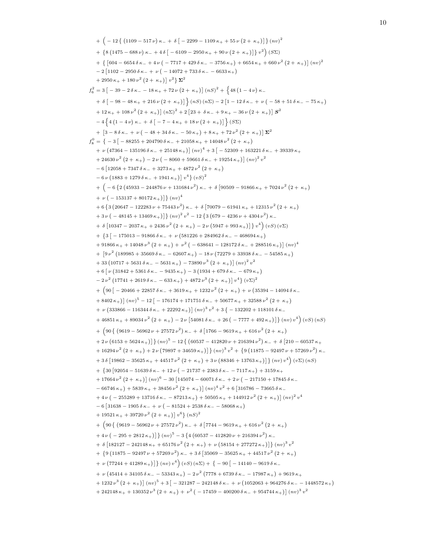```
+ \left(-12\left\{ \left(1109-517 \nu\right) \kappa_- + \delta \left[-2299-1109 \kappa_+ + 55 \nu \left(2+\kappa_+\right)\right]\right\} \left(nv\right)^2\right.+ {8 (1475 – 688 \nu) \kappa – + 4 \delta [ – 6109 – 2950 \kappa + + 90 \nu (2 + \kappa + )]} v^2) (SS)
    + \{ [ 604 - 6654 \delta \kappa_- + 4 \nu ( -7717 + 429 \delta \kappa_- - 3756 \kappa_+ ) + 6654 \kappa_+ + 660 \nu^2 (2 + \kappa_+ ) ] (nv)^2-2 [1102 – 2950 δ κ<sub>−</sub> + ν ( – 14072 + 733 δ κ<sub>−</sub> – 6633 κ<sub>+</sub>)
    + 2950 \kappa_+ + 180 \nu^2 (2 + \kappa_+ ) v^2 \Sigma^2f_6^2 = 3 \left[ \, -39 - 2 \, \delta \, \kappa_- - 18 \, \kappa_+ + 72 \, \nu \left(2 + \kappa_+ \right) \right] \left( nS \right)^2 + \, \left\{ 48 \left( 1 - 4 \, \nu \right) \kappa_- \right.+ \delta \left[ -98 - 48 \kappa_+ + 216 \nu (2 + \kappa_+) \right] \left\{ (nS) (n\Sigma) - 2 \left[ 1 - 12 \delta \kappa_- + \nu (-58 + 51 \delta \kappa_- - 75 \kappa_+) \right] \right\}+ 12 \kappa_+ + 108 \nu^2 (2 + \kappa_+) [(n\Sigma)^2 + 2 [23 + \delta \kappa_- + 9 \kappa_+ - 36 \nu (2 + \kappa_+)] \mathbf{S}^2-4\{4(1-4\nu)\kappa_{-} + \delta[-7-4\kappa_{+}+18\nu(2+\kappa_{+})]\}\s(\mathcal{S}\Sigma)+ \left[3 - 8\,\delta\,\kappa_{-} + \nu\,\left(-48 + 34\,\delta\,\kappa_{-} - 50\,\kappa_{+}\right) + 8\,\kappa_{+} + 72\,\nu^2\,\left(2 + \kappa_{+}\right)\right]\Sigma^2f_8^0 =  { − 3 [ − 88255 + 204790 δ κ− + 21058 κ+ + 14048 \nu^2 (2 + κ+)
    + ν (47364 − 135196 δ κ− + 25148 κ+)] (nv)^4 + 3 [ − 52309 + 163221 δ κ− + 39339 κ+
    + 24630 \nu^2 (2 + \kappa_+) - 2 \nu (-8060 + 59661 \delta \kappa_- + 19254 \kappa_+ ) \big] (nv)^2 v^2-6 [12058 + 7347 \delta \kappa_- + 3273 \kappa_+ + 4872 \nu^2 (2 + \kappa_+)
    -6\nu\left(1883+1279\delta\,\kappa_-+1941\,\kappa_+\right)\left[\,v^4\right]\left(vS\right)^2+\left(-6\left\{2\left(45933-244876 \nu +131684 \nu ^{2}\right)\kappa _{-}+\delta \left[90509-91866 \kappa _{+}+7024 \nu ^{2}\left(2+\kappa _{+}\right)\right.\right.+ \nu \left( -153137 + 80172 \,\kappa_+ \right) \left[ \right] \left( n v \right)^4+ 6 \{3(20647 - 122283 \nu + 75443 \nu^2) \kappa + \delta [70079 - 61941 \kappa + 12315 \nu^2 (2 + \kappa +)+3\nu\big(-48145+13469\,\kappa_+\big)\big]\big\}\,(n\nu)^2\,v^2-12\,\big\{3\,\big(679-4236\,\nu+4304\,\nu^2\big)\,\kappa_-\big\}+ δ \left[10347 - 2037 \kappa_+ + 2436 \nu^2 (2 + \kappa_+) - 2 \nu (5947 + 993 \kappa_+) \right] \right\} v^4 (vS) (v\Sigma)+\left\{3\left(-175013-91866\,\delta\,\kappa_-+\nu\,\left(581226+284962\,\delta\,\kappa_--468694\,\kappa_+\right)\right.\right.+91866 \kappa_+ + 14048 \nu^3 (2 + \kappa_+) + \nu^2 (-638641 - 128172 \delta \kappa_- + 288516 \kappa_+ ) \big] (nv)^4+ \left[9 \nu^2 \left(189985 + 35669 \delta \kappa_- - 62607 \kappa_+\right) - 18 \nu \left(72279 + 33938 \delta \kappa_- - 54585 \kappa_+\right)\right]+33\left(10717+5631\,\delta\,\kappa_-\,-5631\,\kappa_+\right)-73890\,\nu^3\left(2+\,\kappa_+\right)\right]\left(nv\right)^2v^2+ 6 \left[ \nu \left( 31842 + 5361 \delta \kappa_- - 9435 \kappa_+ \right) - 3 \left( 1934 + 679 \delta \kappa_- - 679 \kappa_+ \right) \right]-2\nu^2 (17741 + 2619 δ κ_ − 633 κ_ + ) + 4872ν^3 (2 + κ_ + ) |v^4 (vΣ)^2+\ \left(90\left(-20466+22857\,\delta\,\kappa_-+3619\,\kappa_+ +1232\,\nu^2\,\big(2+\,\kappa_+\big)+\nu\,\big(35394-14094\,\delta\,\kappa_-\right.\right.+ 8402 \kappa_+ \right) (\nu_0^5 - 12 \left[ -176174 + 171751 \delta \kappa_- + 50677 \kappa_+ + 32588 \nu^2 (2 + \kappa_+ \right)+ ν (333866 − 116344 δ κ<sub>−</sub> + 22292 κ<sub>+</sub>)] (nv)<sup>3</sup> v^2 + 3 { - 132202 + 118101 δ κ<sub>−</sub>
    +46851\,\kappa_+ +89034\,\nu^2\,\left(2+\,\kappa_+\right)-2\,\nu\,\left[54081\,\delta\,\kappa_- +26\,\left(-\,7777+492\,\kappa_+\right)\right]\big\}\,(n\,)\,v^4\Big)\,(vS)\,(nS)+\left(90\left\{ \left(9619-56962 \nu +27572 \nu ^2\right)\kappa _-+\delta \left[1766-9619 \kappa _++616 \nu ^2\left(2+\kappa _+\right)\right.\right.+ 2\nu (6153 + 5624 \kappa_+ )]\} (nv)^5 - 12\{ (60537 - 412820 \nu + 216394 \nu^2) \kappa_- + \delta [210 - 60537 \kappa_++16294 \nu^2 \left(2+\kappa_+\right)+2 \nu \left(79897+34659 \,\kappa_+\right)\big]\big\}\left(n v\right)^3 v^2+\big\{9 \left(11875-92497 \,\nu+57269 \,\nu^2\right)\kappa_-+3\,\delta\left[19862-35625\,\kappa_{+}+44517\,\nu^2\left(2+\,\kappa_{+}\right)+3\,\nu\left(88346+13763\,\kappa_{+}\right)\right]\right\}(nv)v^4\bigg)\, (v\Sigma)\,(nS)+ {30} [92054 - 51639 δ κ− + 12ν ( − 21737 + 2383 δ κ− − 7117 κ<sub>+</sub>) + 3159 κ<sub>+</sub>+~17664~\nu^2~(2+~\kappa_+ )\big]~(n v)^6-30~\big[145074-60071~\delta \kappa_- +2~\nu~(-~217150+17845~\delta \kappa_--66746\,\kappa_{+}) + 5839\,\kappa_{+} + 38456\,\nu^2\,\big(2+\kappa_{+}\big)\big]\, \big(nv\big)^4\,v^2 + 6\,\big[316786 - 73665\,\delta\,\kappa_{-} \big]+~4\,\nu\left(-255289+13716\,\delta\,\kappa_--87213\,\kappa_+\right) +50505\,\kappa_+ +144912\,\nu^2\left(2+\,\kappa_+\right)\right]\left(nv\right)^2\,v^4-6 [31638 - 1905 δ κ − + ν ( - 81524 + 2538 δ κ − - 58068 κ + )
    + 19521 \kappa_+ + 39720 \nu^2 (2 + \kappa_+ ) \vert v^6 \rangle (nS)^2+ \left(90\right\{ \left(9619-56962 \nu +27572 \nu^2\right) \kappa_-+\delta \left[7744-9619 \kappa_+ +616 \nu^2 \left(2+\kappa_+\right)\right.+4\nu\left(-295+2812\,\kappa_{+}\right)\right]\left\{ \left(nv\right)^{5}-3\left\{ 4\left(60537-412820\,\nu+216394\,{\nu}^{2}\right)\kappa_{-}\right\} \right\}+ δ [182127 - 242148 \kappa_+ + 65176 \nu^2 (2 + \kappa_+) + \nu (58154 + 277272 \kappa_+)] \} (nv)^3 v^2+ {9 (11875 – 92497 \nu + 57269 \nu^2) \kappa + 3 \delta [35069 – 35625 \kappa + + 44517 \nu^2 (2 + \kappa +)
    + \nu (77244 + 41289 \,\kappa_{+}) \} (nv) v^{4} (vS) (n\Sigma) + \{-90[-14140 - 9619 \,\delta \,\kappa_{-}]+ ν (45414 + 34105 δ κ − − 53343 κ + ) − 2 ν<sup>2</sup> (7778 + 6739 δ κ − − 17987 κ + ) + 9619 κ +
    + 1232\nu^3 (2 + \kappa_+) (nv)^5 + 3 [-321287 - 242148 \delta \kappa_- + \nu (1052063 + 964276 \delta \kappa_- - 1448572 \kappa_+]+ 242148 \kappa_+ + 130352 \nu^3 (2 + \kappa_+) + \nu^2 (-17459 - 400200 \delta \kappa_- + 954744 \kappa_+ )] (nv)^3 v^2
```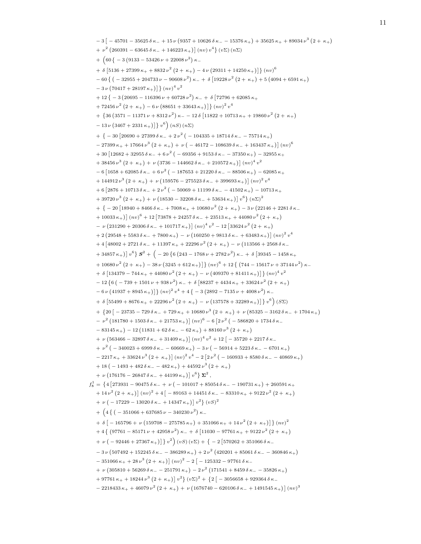```
-3[-45701-35625 \delta \kappa_-+15 \nu (9357+10626 \delta \kappa_- -15376 \kappa_+)+35625 \kappa_+ +89034 \nu^3 (2+\kappa_+)]+ \nu^2 (260391 - 63645 \delta \kappa_- + 146223 \kappa_+ ) \big] (nv) v^4 \big\} (v \Sigma) (n \Sigma)+\left(60\left(-3\left(9133-53426 \nu +22008 \nu ^{2}\right)\kappa _{-}\right)\right.+ \delta [5136 + 27399 \kappa+ + 8832 \nu^2 (2 + \kappa+) - 4 \nu (29311 + 14250 \kappa+)] } (nv)^6-60\{(-32955 + 204733 \nu - 90608 \nu^2)\kappa + \delta[19228 \nu^2 (2 + \kappa_{+}) + 5(4094 + 6591 \kappa_{+})\}-3\nu(70417+28197\kappa_{+})}(nv)^{4}v^{2}+12\left\{ -3\left( 20695-116396\,\nu+60728\,\nu^{2}\right) \kappa-+\;\delta\left[ 72796+62085\,\kappa_{+}\right. \right.+ 72456 \nu^2 (2 + \kappa_+) - 6 \nu (88651 + 33643 \kappa_+) ] \} \left(\nu v\right)^2 v^4+ {36 (3571 - 11371 \nu + 8312 \nu<sup>2</sup>) \kappa - - 12 δ [11822 + 10713 \kappa + + 19860 \nu<sup>2</sup> (2 + \kappa +)
    -13 \nu (3467 + 2331 \kappa_+ )} v^6 (nS) (nS)+ \{-30\left[20690 + 27399 \delta \kappa_- + 2 \nu^2 \left(-104335 + 18714 \delta \kappa_- - 75714 \kappa_+\right)\right]- 27399 \kappa_+ + 17664 \nu^3 (2 + \kappa_+) + \nu (-46172 - 108639 \delta \kappa_- + 163437 \kappa_+ )] (nv)^6+30\left[12682+32955\,\delta\,\kappa_-+6\,\nu^2\,\big(-69356+9153\,\delta\,\kappa_--37350\,\kappa_+\big)-32955\,\kappa_+\right.+ 38456 \nu^3 (2 + \kappa_+) + \nu (3736 - 144662 \delta \kappa_- + 210572 \kappa_+) ] (nv)^4 v^2-6[1658+62085 \delta \kappa_- + 6 \nu^2 (-187653+21220 \delta \kappa_- -88506 \kappa_+ ) -62085 \kappa_++ 144912 \nu^3 (2 + \kappa_+) + \nu (159576 - 275523 \delta \kappa_- + 399693 \kappa_+) ] (\nu \nu)^2 v^4+ 6 [2876 + 10713 \delta \kappa_- + 2 \nu^2 (-50069 + 11199 \delta \kappa_- - 41502 \kappa_+) - 10713 \kappa_++ 39720 \nu^3 (2 + \kappa_+) + \nu (18530 - 32208 \delta \kappa_- + 53634 \kappa_+) \, v^6 \} (\eta \Sigma)^2+ { − 20 \left[ 18940 + 8466 \delta \kappa_- + 7008 \kappa_+ + 10680 \nu^2 (2 + \kappa_+) - 3 \nu (22146 + 2281 \delta \kappa_- \right]+ 10033 \kappa<sub>+</sub>) (nv)^6 + 12 [73878 + 24257 \delta \kappa - + 23513 \kappa + + 44080 \nu<sup>2</sup> (2 + \kappa + )
    - ν (231290 + 20306 δ κ<sub>−</sub> + 101717 κ<sub>+</sub>)] (nv)<sup>4</sup> v<sup>2</sup> − 12 [33624 ν<sup>2</sup> (2 + κ<sub>+</sub>)
    + 2 \left( 29548 + 5583 \delta \kappa_- + 7800 \kappa_+ \right) - \nu \left( 160250 + 9813 \delta \kappa_- + 63483 \kappa_+ \right) \right] (nv)^2 v^4+ 4 \left[48002+2721 \delta \kappa_-+11397 \kappa_+ +22296 \nu^2 (2+\kappa_+)-\nu (113566+2568 \delta \kappa_-+11397 \kappa_+ +22296 \nu^2 (2+\kappa_+)-\nu (213566+2568 \delta \kappa_-+11397 \kappa_-+11397 \kappa_-+11397 \kappa_-+11397 \kappa_-+11397 \kappa_-+34857\,\kappa_+) | v^6 } {\cal S}^2+\big(-20\, \{6 \, \big(243 -1768\,\nu +2782\,\nu^2\big)\, \kappa_- +\, \delta\, \big[39345 -1458\,\kappa_++10680 \nu^2 \left(2+\kappa_+\right) -38 \nu \left(3245 +612 \kappa_+\right) \left]\right\} \left(nv\right)^6+12 \left\{\left(744 -15617 \nu +37144 \nu ^2\right) \kappa_-\right.+ \delta \left[ 134379 - 744 \kappa_+ + 44080 \nu^2 (2 + \kappa_+) - \nu (409370 + 81411 \kappa_+) \right] \} (nv)^4 v^2-12\{6(-739+1501 \nu+938 \nu^2)\kappa-+\delta[88237+4434 \kappa+ +33624 \nu^2(2+\kappa_+)]-6\nu(41937 + 8945\,\kappa_+) \} (nv)^2v^4 + 4\{-3(2892 - 7135\nu + 4008\nu^2)\,\kappa_-+ δ [55499 + 8676 \kappa_+ + 22296 \nu^2 (2 + \kappa_+) - \nu (137578 + 32289 \kappa_+)] \nu^6 (SS)
    + \{20\big[-23735 - 729\delta\kappa_- + 729\kappa_+ + 10680\nu^3(2 + \kappa_+) + \nu(85325 - 3162\delta\kappa_- + 1704\kappa_+\}\)- \nu^2 (181780 + 1503 \delta \kappa_- + 21753 \kappa_+ ) (nv)^6 - 6 [2ν^2 (-586820 + 1734 \delta \kappa_--83145\,\kappa_+) – 12 (11831 + 62 δ κ - - 62 κ + ) + 88160 \nu^3 (2 + \kappa_+)
    + ν (563466 − 32897 δ κ<sub>−</sub> + 31409 κ<sub>+</sub>)] (nv)<sup>4</sup> v<sup>2</sup> + 12 [ − 35720 + 2217 δ κ<sub>−</sub>
    + \nu^2 ( - 340023 + 6999 \delta \kappa_- - 60669 \kappa_+) - 3 \nu ( - 56914 + 5223 \delta \kappa_- - 6701 \kappa_+)
    -2217\kappa_+ + 33624\,\nu^3\left(2 + \kappa_+\right)\right] (nv)<sup>2</sup> v^4 - 2\left[2\,\nu^2\left(-160933 + 8580\,\delta\,\kappa_-\right. - 40869\,\kappa_+\right)+18 ( -1493 + 482 \delta \kappa_- - 482 \kappa_+) + 44592 \nu^3 (2 + \kappa_+)+ \nu (176176 - 26847 \delta \kappa_- + 44199 \kappa_+ ) \vert v^6 \} \Sigma^2,
f_8^1 = {4 [273931 − 90475 δ κ_ − + ν ( − 101017 + 85054 δ κ_ − − 190731 κ<sub>+</sub>) + 260591 κ<sub>+</sub>}+ 14 \nu^2 (2 + \kappa_+ ) (nv)^2 + 4 [-89163 + 14451 \delta \kappa_- - 83310 \kappa_+ + 9122 \nu^2 (2 + \kappa_+ )+ \nu ( - 17229 – 13020 \delta \kappa_- + 14347 \kappa_+)] v^2} (vS)^2+\left(4\left\{ \right.^{-1}\left(-351066+637685 \nu-340230 \nu^{2}\right)\kappa-+ \delta \left[ -165796 + \nu \left( 159708 - 275785 \kappa_+ \right) + 351066 \kappa_+ + 14 \nu^2 \left( 2 + \kappa_+ \right) \right] \} \left( n v \right)^2+ 4 \{ (97761 - 85171 \nu + 42958 \nu^2) \kappa_- + \delta [11030 - 97761 \kappa_+ + 9122 \nu^2 (2 + \kappa_+ )+ ν ( - 92446 + 27367 κ<sub>+</sub>)] } v^2) (vS) (vΣ) + { - 2 [570262 + 351066 δ κ<sub>-</sub>
    -3\nu\left(507492+152245\delta\kappa_--386289\kappa_+\right)+2\nu^2\left(420201+85061\delta\kappa_--360846\kappa_+\right)-351066 \kappa_+ + 28 \nu^3 (2 + \kappa_+ ) (nv)^2 - 2 [-125332 - 97761 \delta \kappa_-+ ν (305810 + 56269 δ κ − − 251791 κ + ) − 2 ν<sup>2</sup> (171541 + 8459 δ κ − − 35826 κ + )
    +~97761\,\kappa_+ +18244\,\nu^3\left(2+\,\kappa_+\right)\right]\,v^2\big\}\,\left(v\Sigma\right)^2+\,\left\{2\,\big[-3056658+929364\,\delta\,\kappa_-\right]-2218433 \kappa_+ + 46079 \nu^2 (2 + \kappa_+) + \nu (1676740 - 620106 \delta \kappa_- + 1491545 \kappa_+) ]^{(nv)^3}
```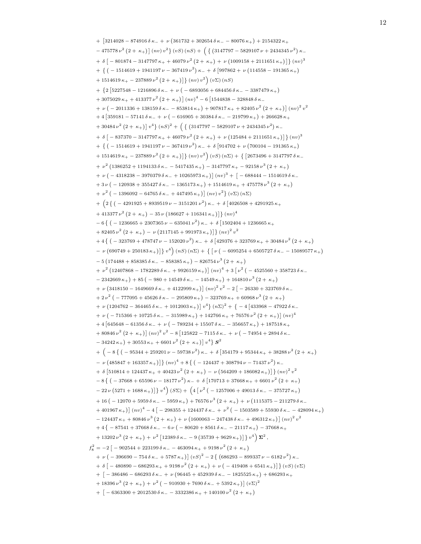```
+ [3214028 − 874916δ\kappa<sub>−</sub> + ν (361732 + 302654δ\kappa<sub>−</sub> − 80076\kappa<sub>+</sub>) + 2154322\kappa<sub>+</sub>
    -475778 \nu^2 (2+\kappa_+)[(nv) v^2 \} (vS) (nS) + (3147797 - 5829107 \nu + 2434345 \nu^2) \kappa_-+ \delta \left[ -801874 - 3147797 \kappa_+ + 46079 \nu^2 (2 + \kappa_+) + \nu (1009158 + 2111651 \kappa_+) \right] \} (nv)<sup>3</sup>
    + {(-1514619 + 1941197 \nu - 367419 \nu^2) \kappa + δ[997862 + \nu (114558 - 191365 \kappa_+)]+ 1514619 \kappa_+ – 237889 \nu^2 (2 + \kappa_+)} (nv) v^2(v\sum)(nS)+ {2 [5227548 - 1216896 \delta \kappa_- + \nu ( - 6893056 + 684456 \delta \kappa_- - 3387479 \kappa_+)
    +3075029 \,\kappa_+ +413377 \,\nu^2 \left(2+\,\kappa_+\right) \rceil \left(n v \right)^4-6 \left\lceil 1544838 - 328848 \,\delta \,\kappa_- \right\rceil+~\nu~(\,-\,2011336 + 138159~\delta \kappa_- - 853814 \kappa_+) + 907817 \kappa_+ + 82405 \nu^2~(2+ \kappa_+) ]~{(nv)}^2 v^2+ 4 [359181 - 57141 \delta \kappa_- + \nu (-616905 + 30384 \delta \kappa_- - 219799 \kappa_+ ) + 266628 \kappa_++30484 \nu^2 (2+\kappa_+)|v^4 (nS)^2 + (\{(3147797 - 5829107 \nu + 2434345 \nu^2) \kappa_-+ \delta \left[ -837370 - 3147797 \kappa_+ + 46079 \nu^2 (2 + \kappa_+) + \nu (125484 + 2111651 \kappa_+) \right] \} (nv)<sup>3</sup>
    + {(-1514619 + 1941197 \nu - 367419 \nu^2) \kappa + δ[914702 + \nu (700104 - 191365 \kappa_+)]+ 1514619 κ<sub>+</sub> − 237889 \nu^2 (2 + κ<sub>+</sub>)]} (nv) v^2) (vS) (n∑) + { [2673496 + 3147797 δ κ_
    + ν<sup>2</sup> (1386252 + 1194133δκ − − 5417435 κ<sub>+</sub>) − 3147797 κ<sub>+</sub> − 92158 ν<sup>3</sup> (2 + κ<sub>+</sub>)
    + ν ( − 4318238 − 3970379 δ κ<sub>−</sub> + 10265973 κ<sub>+</sub>)] (nv)^3 + [ − 688444 − 1514619 δ κ<sub>−</sub>
    + 3 \nu ( - 120938 + 355427 \delta \kappa - - 1365173 \kappa + ) + 1514619 \kappa + + 475778 \nu<sup>3</sup> (2 + \kappa + )
    + \nu^2 ( - 1396092 - 64765 \delta \kappa_- + 447495 \kappa_+)] (nv) v^2} (v \Sigma) (n \Sigma)+\left(2\left\{\right.(-4291925+8939519 \,\nu-3151201 \,\nu^2\right)\kappa_-+\delta\left[4026508+4291925 \,\kappa_+\right.+ 413377 \nu^2 (2 + \kappa_+) - 35 \nu (186627 + 116341 \kappa_+) \} (nv)^4-6\{(-1236665+2307365 \nu-635041 \nu^2)\kappa_-+\delta[1502404+1236665\kappa_++ 82405 \nu^2 (2 + \kappa_+) - \nu (2117145 + 991973 \kappa_+) ] \} (nv)^2 v^2+ 4 { (-323769 + 478747 \nu - 152020 \nu^2) \kappa + 6 [429376 + 323769 \kappa + + 30484 \nu^2 (2 + \kappa)- ν (690749 + 250183 κ<sub>+</sub>)]} v^4) (nS) (nΣ) + { [ν ( − 6095254 + 6505727 δ κ<sub>−</sub> − 15089577 κ<sub>+</sub>)
    -5(174488 + 858385 \delta \kappa_- - 858385 \kappa_+) - 826754 \nu^3 (2 + \kappa_+)+ \nu^2 (12407868 - 1782289 \delta \kappa_- + 9926159 \kappa_+) ](n v)^4 + 3 [\nu^2 ( - 4525560 + 358723 \delta \kappa_--2342669 \kappa_+) + 85 ( -980 + 14549 \delta \kappa_- - 14549 \kappa_+) + 164810 \nu^3 (2 + \kappa_+)
    + ν (3418150 − 1649669 δ κ − + 4122999 κ + )] (nv)^2 v^2 - 2[-26330 + 323769 8 κ −
    + 2 \nu^2 (-777095 + 45626 \delta \kappa_- - 295809 \kappa_+) - 323769 \kappa_+ + 60968 \nu^3 (2 + \kappa_+)+ ν (1204762 − 364465 δ κ − + 1012003 κ + )] v^4 } (n\Sigma)<sup>2</sup> + { − 4 [433968 − 47922 δ κ −
    +~\nu~(-~715366 + 10725 \, \delta \kappa_- - 315989 \, \kappa_+) + 142766 \, \kappa_+ + 76576 \, \nu^2~(2+\,\kappa_+) ]~{(nv)}^4+ 4 \left[645648 - 61356 \delta \kappa_- + \nu \left(-789234 + 15507 \delta \kappa_- - 356657 \kappa_+\right) + 187518 \kappa_++80846 \nu^2 (2 + \kappa_+)[(n\nu)^2 v^2 - 8[125822 - 7115 \delta \kappa_- + \nu (-74954 + 2894 \delta \kappa_--34242\,\kappa_{+}) + 30553\,\kappa_{+} + 6601\,\nu^2\,\left(2+\,\kappa_{+}\right)\,\left[\,v^4\,\right\}\,\mathbf{S}^2+ \left(-8\left\{(-95344+259201 \nu-59738 \nu^2\right) \kappa_-+\delta \left[354179+95344 \kappa_+ +38288 \nu^2 \left(2+\kappa_+\right)\right.\right.- \nu (485847 + 163357 \kappa<sub>+</sub>)} (nv)<sup>4</sup> + 8 { (−124437 + 308794 \nu − 71437 \nu<sup>2</sup>) \kappa<sub>−</sub>+ δ [510814 + 124437 \kappa_+ + 40423 \nu^2 (2 + \kappa_+) - \nu (564209 + 186082 \kappa_+)] \} (nv)<sup>2</sup> v<sup>2</sup>
    -8\{(-37668+65596 \nu - 18177 \nu^2)\kappa + \delta[170713+37668 \kappa + 6601 \nu^2(2+\kappa_{+})]-22\nu (5271+1688\,\kappa_+)]\frac{v^4}{(S\Sigma)} + (4\left[\nu^2(-1257006+49013\,\delta\,\kappa_- - 375727\,\kappa_+)\right]+ 16 ( − 12070 + 5959 δ κ − − 5959 κ + ) + 76576 \nu^3 (2 + κ + ) + \nu (1115375 − 211279 δ κ −
    +401967\,\kappa_{+}) \mid (nv)^{4} - 4\mid -298355 + 124437\,\delta\,\kappa_{-} + \nu^{2} \mid -1503589 + 55930\,\delta\,\kappa_{-} - 428094\,\kappa_{+})-124437\kappa_+ + 80846\,\nu^3\left(2 + \kappa_+\right) + \nu\left(1600063 - 247438\,\delta\,\kappa_-\right. + 496312\,\kappa_+\right)\right]\left(nv\right)^2\,v^2+4\{-87541+37668 δ κ − − 6 ν ( − 80620 + 8561 δ κ − − 21117 κ + ) − 37668 κ +
    + 13202 \nu^3 (2 + \kappa_+) + \nu^2 [12389 \delta \kappa_- - 9 (35739 + 9629 \kappa_+)] \nu^4] \Sigma^2f_8^2 = −2 [ − 902544 + 223199 δ κ<sub>−</sub> − 463094 κ<sub>+</sub> + 9198 ν<sup>2</sup> (2 + κ<sub>+</sub>)
    + ν ( - 396690 - 754 δ κ<sub>-</sub> + 5787 κ<sub>+</sub>)] (vS)<sup>2</sup> - 2 { (686293 - 899337 ν - 6182 ν<sup>2</sup>) κ<sub>-</sub>
    + \delta \left[ -480890 - 686293 \kappa_+ + 9198 \nu^2 (2 + \kappa_+) + \nu (-419408 + 6541 \kappa_+ ) \right] (vS)(v\Sigma)+ \lceil − 386486 − 686293 δ κ − + ν (96445 + 452939 δ κ − − 1825525 κ + \rangle + 686293 κ +
    + 18396 \nu^3 (2 + \kappa_+) + \nu^2 (-910930 + 7690 \delta \kappa_- + 5392 \kappa_+ ) (v \Sigma)^2+ \left[ -6363300 + 2012530 \delta \kappa_- - 3332386 \kappa_+ + 140100 \nu^2 (2 + \kappa_+) \right]
```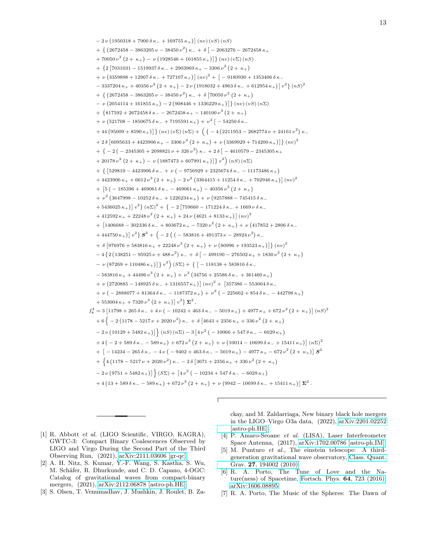$-2\nu(1950318+7900δκ_+169755κ_+)$  (nv) (vS) (nS)  $+$  {  $(2672458 - 3863205 \nu - 38450 \nu^2) \kappa_- + \delta$  [  $- 2063276 - 2672458 \kappa_+$ + 70050  $\nu^2$   $(2 + \kappa_+) - \nu$   $(1928546 + 161855 \kappa_+)$   $\}$   $(n\nu)$   $(v\Sigma)$   $(nS)$ +  $\{2\left[7031031 - 1519937 \delta \kappa_- + 2903969 \kappa_+ - 3306 \nu^2 (2 + \kappa_+) \right]$ + ν (3359898 + 12907 δ κ− + 727107 κ+)]  $(nv)^2 + \lceil$  − 9180930 + 1353406 δ κ−  $-3337204 \kappa_+ + 40356 \nu^2 (2 + \kappa_+) - 2 \nu (1918032 + 4963 \delta \kappa_- + 612954 \kappa_+) \big] v^2$ } (*nS*)<sup>2</sup> + { $(2672458 - 3863205 \nu - 38450 \nu^2) \kappa$  + δ $(70050 \nu^2 (2 + \kappa_+))$  $-$  ν (2054114 + 161855 κ<sub>+</sub>) − 2 (908446 + 1336229 κ<sub>+</sub>)]} (nv) (vS) (n∑) + {817592 + 2672458  $\delta \kappa$  - - 2672458  $\kappa$  + - 140100  $\nu^3$  (2 +  $\kappa$  +) + ν (521708 - 1850675 δ κ - + 7195591 κ + ) + ν<sup>2</sup> [ - 54250 δ κ - $+44\left(95009+8590\,\kappa_{+}\right)\right]\left\{ n\upsilon\right) \left( v\Sigma\right) \left( n\Sigma\right) +\left(\left\{ -4\left(2211953-2682774\,\nu+24161\,\nu^{2}\right)\kappa_{-}\right.\right.$  $+ 2 \delta \left[ 6095633 + 4423906 \kappa_+ - 3306 \nu^2 (2 + \kappa_+) + \nu (3369929 + 714200 \kappa_+) \right] \} (nv)^2$  $+ \{-2(-2345305 + 2098821 \nu + 326 \nu^2) \kappa_- + 2 \delta^- - 4610579 - 2345305 \kappa_+$  $+ 20178 \nu^2 (2 + \kappa_+) - \nu (1887473 + 607991 \kappa_+ ) \right] \nu^2 (nS) (n\Sigma)$ + {  $[529810 - 4423906 δ κ_ + ν ( − 9756929 + 2325674 δ κ_ - − 11173486 κ_ +)$  $+ 4423906 \kappa_+ + 6612 \nu^3 (2 + \kappa_+) - 2 \nu^2 (3364415 + 11254 \delta \kappa_- + 702946 \kappa_+) ]$   $(nv)^2$ +  $\left[5\left(-185396+469061 \delta \kappa_-\right) -40356 \nu^3 \left(2+\kappa_+\right)\right]$ +  $ν^2$  (3647998 - 10252δ κ<sub>-</sub> + 1226234 κ<sub>+</sub>) +  $ν$  (9257888 - 745415δ κ<sub>-</sub>  $+ 5436025 \kappa_+$ )  $v^2$   $\}$   $(n\Sigma)^2$  +  $\{ -2 \left[ 759660 - 171224 \delta \kappa_- + 1669 \nu \delta \kappa_- \right]$ + 412592  $\kappa_+$  + 22248  $\nu^2$   $(2 + \kappa_+)$  + 24  $\nu$   $(4621 + 8133 \kappa_+)$   $(nv)^2$ + [1406688 − 302336 δ κ<sub>−</sub> + 803672 κ<sub>+</sub> − 7320 ν<sup>2</sup> (2 + κ<sub>+</sub>) + ν (417852 + 2806 δ κ<sub>−</sub>  $+ 444750 \,\kappa_{+})\, v^{2}\} S^{2} + \Big(-2\left\{\left(-583816 + 491373 \,\nu - 28924 \,\nu^{2}\right) \kappa_{-}\right.$ + δ  $[976976 + 583816 \kappa_+ + 22248 \nu^2 (2 + \kappa_+) + \nu (80996 + 193523 \kappa_+)] \}$  (nv)<sup>2</sup>  $-4\{2(138251 - 95925 \nu + 488 \nu^2) \kappa + \delta \big(-499190 - 276502 \kappa + 1830 \nu^2 (2 + \kappa + 1) \big)$  $- \nu (87269 + 110486 \kappa_+)$  }  $v^2$  (SΣ) + { [ − 118138 + 583816 δ κ \_  $-583816\,\kappa_+ + 44496\,\nu^3\,\big(2+\kappa_+\big)+\nu^2\,\big(34756+25586\,\delta\,\kappa_- + 361460\,\kappa_+\big)$ + ν (2720885 − 148925 δ κ− + 1316557 κ+)]  $(nv)^2 + [357386 - 553004 \delta \kappa$ − +  $\nu$  ( - 2888077 + 81364 δ κ - - 1187372 κ + ) +  $\nu^2$  ( - 225662 + 854 δ κ - - 442798 κ + )  $+ 553004 \kappa_+ + 7320 \nu^3 (2 + \kappa_+) | v^2 \} \Sigma^2$ ,  $f_8^3 = 3 [11798 + 265 \delta \kappa_- + 4 \nu ( -10242 + 463 \delta \kappa_- - 5019 \kappa_+) + 4977 \kappa_+ + 672 \nu^2 (2 + \kappa_+)] (nS)^2$  $+ 6\{-2(1178 - 5217 \nu + 2020 \nu^2)\kappa_- + \delta [4643 + 2356 \kappa_+ + 336 \nu^2 (2 + \kappa_+)]$  $-2\nu\left(10129+5482\,\kappa_{+}\right)\right]\left\{ \left(nS\right)\left(n\Sigma\right)-3\left[4\nu^2\left(-10066+547\,\delta\,\kappa_{-}-6029\,\kappa_{+}\right)\right]\right\}$  $+4(-2+589 \delta \kappa_- -589 \kappa_+) +672 \nu^3 (2+\kappa_+) + \nu (10014-10699 \delta \kappa_- +15411 \kappa_+ ) \big] (\mathbf{n} \Sigma)^2$  $+\left[-14234-265\,\delta\,\kappa_-\right. -4\,\nu\,\left(-9402+463\,\delta\,\kappa_-\right. -5019\,\kappa_+\right)$  −  $4977$   $\kappa_+$  − 672  $\nu^2\,\left(2+\,\kappa_+\right)\right]$   $\boldsymbol{S}^2$ +  $\{4(1178 - 5217 \nu + 2020 \nu^2)\ \kappa_{-} - 20\ \delta[3671 + 2356 \kappa_{+} + 336 \nu^2(2 + \kappa_{+})$  $-2\nu(9751+5482\kappa_+)$ }  $(S\Sigma) + [4\nu^2(-10234+547\delta\kappa_- - 6029\kappa_+)]$  $+4(13 + 589 \delta \kappa_- - 589 \kappa_+) + 672 \nu^3 (2 + \kappa_+) + \nu (9942 - 10699 \delta \kappa_- + 15411 \kappa_+) \mathbf{Z}^2$ .

- <span id="page-12-0"></span>[1] R. Abbott et al. (LIGO Scientific, VIRGO, KAGRA), GWTC-3: Compact Binary Coalescences Observed by LIGO and Virgo During the Second Part of the Third Observing Run, (2021), [arXiv:2111.03606 \[gr-qc\].](https://arxiv.org/abs/2111.03606)
- [2] A. H. Nitz, S. Kumar, Y.-F. Wang, S. Kastha, S. Wu, M. Schäfer, R. Dhurkunde, and C. D. Capano, 4-OGC: Catalog of gravitational waves from compact-binary mergers, (2021), [arXiv:2112.06878 \[astro-ph.HE\].](https://arxiv.org/abs/2112.06878)
- <span id="page-12-1"></span>[3] S. Olsen, T. Venumadhav, J. Mushkin, J. Roulet, B. Za-

ckay, and M. Zaldarriaga, New binary black hole mergers in the LIGO–Virgo O3a data, (2022), [arXiv:2201.02252](https://arxiv.org/abs/2201.02252) [\[astro-ph.HE\].](https://arxiv.org/abs/2201.02252)

- <span id="page-12-2"></span>[4] P. Amaro-Seoane et al. (LISA), Laser Interferometer Space Antenna, (2017), [arXiv:1702.00786 \[astro-ph.IM\].](https://arxiv.org/abs/1702.00786)
- <span id="page-12-3"></span>[5] M. Punturo et al., The einstein telescope: A thirdgeneration gravitational wave observatory, [Class. Quant.](https://doi.org/10.1088/0264-9381/27/19/194002) Grav. 27[, 194002 \(2010\).](https://doi.org/10.1088/0264-9381/27/19/194002)
- <span id="page-12-4"></span>[6] R. A. Porto, The Tune of Love and the Nature(ness) of Spacetime, [Fortsch. Phys.](https://doi.org/10.1002/prop.201600064) 64, 723 (2016), [arXiv:1606.08895.](https://arxiv.org/abs/1606.08895)
- [7] R. A. Porto, The Music of the Spheres: The Dawn of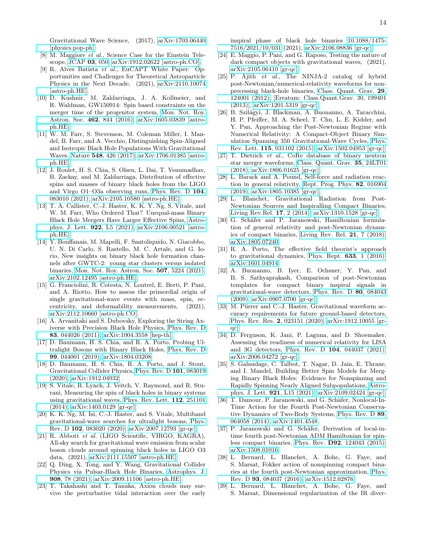Gravitational Wave Science, (2017), [arXiv:1703.06440](https://arxiv.org/abs/1703.06440) [\[physics.pop-ph\].](https://arxiv.org/abs/1703.06440)

- [8] M. Maggiore et al., Science Case for the Einstein Telescope, [JCAP](https://doi.org/10.1088/1475-7516/2020/03/050) 03, 050, [arXiv:1912.02622 \[astro-ph.CO\].](https://arxiv.org/abs/1912.02622)
- <span id="page-13-0"></span>[9] R. Alves Batista et al., EuCAPT White Paper: Opportunities and Challenges for Theoretical Astroparticle Physics in the Next Decade, (2021), [arXiv:2110.10074](https://arxiv.org/abs/2110.10074) [\[astro-ph.HE\].](https://arxiv.org/abs/2110.10074)
- <span id="page-13-1"></span>[10] D. Kushnir, M. Zaldarriaga, J. A. Kollmeier, and R. Waldman, GW150914: Spin based constraints on the merger time of the progenitor system, [Mon. Not. Roy.](https://doi.org/10.1093/mnras/stw1684) Astron. Soc. 462[, 844 \(2016\),](https://doi.org/10.1093/mnras/stw1684) [arXiv:1605.03839 \[astro](https://arxiv.org/abs/1605.03839)[ph.HE\].](https://arxiv.org/abs/1605.03839)
- [11] W. M. Farr, S. Stevenson, M. Coleman Miller, I. Mandel, B. Farr, and A. Vecchio, Distinguishing Spin-Aligned and Isotropic Black Hole Populations With Gravitational Waves, Nature 548[, 426 \(2017\),](https://doi.org/10.1038/nature23453) [arXiv:1706.01385 \[astro](https://arxiv.org/abs/1706.01385)[ph.HE\].](https://arxiv.org/abs/1706.01385)
- [12] J. Roulet, H. S. Chia, S. Olsen, L. Dai, T. Venumadhav, B. Zackay, and M. Zaldarriaga, Distribution of effective spins and masses of binary black holes from the LIGO and Virgo O1–O3a observing runs, [Phys. Rev. D](https://doi.org/10.1103/PhysRevD.104.083010) 104, [083010 \(2021\),](https://doi.org/10.1103/PhysRevD.104.083010) [arXiv:2105.10580 \[astro-ph.HE\].](https://arxiv.org/abs/2105.10580)
- <span id="page-13-12"></span>[13] T. A. Callister, C.-J. Haster, K. K. Y. Ng, S. Vitale, and W. M. Farr, Who Ordered That? Unequal-mass Binary Black Hole Mergers Have Larger Effective Spins, [Astro](https://doi.org/10.3847/2041-8213/ac2ccc)[phys. J. Lett.](https://doi.org/10.3847/2041-8213/ac2ccc) 922, L5 (2021), [arXiv:2106.00521 \[astro](https://arxiv.org/abs/2106.00521)[ph.HE\].](https://arxiv.org/abs/2106.00521)
- [14] Y. Bouffanais, M. Mapelli, F. Santoliquido, N. Giacobbo, U. N. Di Carlo, S. Rastello, M. C. Artale, and G. Iorio, New insights on binary black hole formation channels after GWTC-2: young star clusters versus isolated binaries, [Mon. Not. Roy. Astron. Soc.](https://doi.org/10.1093/mnras/stab2438) 507, 5224 (2021), [arXiv:2102.12495 \[astro-ph.HE\].](https://arxiv.org/abs/2102.12495)
- <span id="page-13-2"></span>[15] G. Franciolini, R. Cotesta, N. Loutrel, E. Berti, P. Pani, and A. Riotto, How to assess the primordial origin of single gravitational-wave events with mass, spin, eccentricity, and deformability measurements, (2021), [arXiv:2112.10660 \[astro-ph.CO\].](https://arxiv.org/abs/2112.10660)
- <span id="page-13-3"></span>[16] A. Arvanitaki and S. Dubovsky, Exploring the String Axiverse with Precision Black Hole Physics, [Phys. Rev. D](https://doi.org/10.1103/PhysRevD.83.044026) 83[, 044026 \(2011\),](https://doi.org/10.1103/PhysRevD.83.044026) [arXiv:1004.3558 \[hep-th\].](https://arxiv.org/abs/1004.3558)
- <span id="page-13-14"></span>[17] D. Baumann, H. S. Chia, and R. A. Porto, Probing Ultralight Bosons with Binary Black Holes, [Phys. Rev. D](https://doi.org/10.1103/PhysRevD.99.044001) 99[, 044001 \(2019\),](https://doi.org/10.1103/PhysRevD.99.044001) [arXiv:1804.03208.](https://arxiv.org/abs/1804.03208)
- <span id="page-13-15"></span>[18] D. Baumann, H. S. Chia, R. A. Porto, and J. Stout, Gravitational Collider Physics, [Phys. Rev. D](https://doi.org/10.1103/PhysRevD.101.083019) 101, 083019 [\(2020\),](https://doi.org/10.1103/PhysRevD.101.083019) [arXiv:1912.04932.](https://arxiv.org/abs/1912.04932)
- [19] S. Vitale, R. Lynch, J. Veitch, V. Raymond, and R. Sturani, Measuring the spin of black holes in binary systems using gravitational waves, [Phys. Rev. Lett.](https://doi.org/10.1103/PhysRevLett.112.251101) 112, 251101 [\(2014\),](https://doi.org/10.1103/PhysRevLett.112.251101) [arXiv:1403.0129 \[gr-qc\].](https://arxiv.org/abs/1403.0129)
- [20] K. K. Ng, M. Isi, C.-J. Haster, and S. Vitale, Multiband gravitational-wave searches for ultralight bosons, [Phys.](https://doi.org/10.1103/PhysRevD.102.083020) Rev. D 102[, 083020 \(2020\),](https://doi.org/10.1103/PhysRevD.102.083020) [arXiv:2007.12793 \[gr-qc\].](https://arxiv.org/abs/2007.12793)
- [21] R. Abbott et al. (LIGO Scientific, VIRGO, KAGRA), All-sky search for gravitational wave emission from scalar boson clouds around spinning black holes in LIGO O3 data, (2021), [arXiv:2111.15507 \[astro-ph.HE\].](https://arxiv.org/abs/2111.15507)
- [22] Q. Ding, X. Tong, and Y. Wang, Gravitational Collider Physics via Pulsar-Black Hole Binaries, [Astrophys. J.](https://doi.org/10.3847/1538-4357/abd803) 908[, 78 \(2021\),](https://doi.org/10.3847/1538-4357/abd803) [arXiv:2009.11106 \[astro-ph.HE\].](https://arxiv.org/abs/2009.11106)
- <span id="page-13-13"></span>[23] T. Takahashi and T. Tanaka, Axion clouds may survive the perturbative tidal interaction over the early

inspiral phase of black hole binaries [10.1088/1475-](https://doi.org/10.1088/1475-7516/2021/10/031) [7516/2021/10/031](https://doi.org/10.1088/1475-7516/2021/10/031) (2021), [arXiv:2106.08836 \[gr-qc\].](https://arxiv.org/abs/2106.08836)

- <span id="page-13-4"></span>[24] E. Maggio, P. Pani, and G. Raposo, Testing the nature of dark compact objects with gravitational waves, (2021), [arXiv:2105.06410 \[gr-qc\].](https://arxiv.org/abs/2105.06410)
- <span id="page-13-5"></span>[25] P. Ajith et al., The NINJA-2 catalog of hybrid post-Newtonian/numerical-relativity waveforms for nonprecessing black-hole binaries, [Class. Quant. Grav.](https://doi.org/10.1088/0264-9381/29/12/124001) 29, [124001 \(2012\),](https://doi.org/10.1088/0264-9381/29/12/124001) [Erratum: Class.Quant.Grav. 30, 199401 (2013)], [arXiv:1201.5319 \[gr-qc\].](https://arxiv.org/abs/1201.5319)
- [26] B. Szilágyi, J. Blackman, A. Buonanno, A. Taracchini, H. P. Pfeiffer, M. A. Scheel, T. Chu, L. E. Kidder, and Y. Pan, Approaching the Post-Newtonian Regime with Numerical Relativity: A Compact-Object Binary Simulation Spanning 350 Gravitational-Wave Cycles, [Phys.](https://doi.org/10.1103/PhysRevLett.115.031102) Rev. Lett. 115[, 031102 \(2015\),](https://doi.org/10.1103/PhysRevLett.115.031102) [arXiv:1502.04953 \[gr-qc\].](https://arxiv.org/abs/1502.04953)
- [27] T. Dietrich et al., CoRe database of binary neutron star merger waveforms, [Class. Quant. Grav.](https://doi.org/10.1088/1361-6382/aaebc0) 35, 24LT01 [\(2018\),](https://doi.org/10.1088/1361-6382/aaebc0) [arXiv:1806.01625 \[gr-qc\].](https://arxiv.org/abs/1806.01625)
- <span id="page-13-6"></span>[28] L. Barack and A. Pound, Self-force and radiation reaction in general relativity, [Rept. Prog. Phys.](https://doi.org/10.1088/1361-6633/aae552) 82, 016904 [\(2019\),](https://doi.org/10.1088/1361-6633/aae552) [arXiv:1805.10385 \[gr-qc\].](https://arxiv.org/abs/1805.10385)
- <span id="page-13-7"></span>[29] L. Blanchet, Gravitational Radiation from Post-Newtonian Sources and Inspiralling Compact Binaries, [Living Rev.Rel.](https://doi.org/10.12942/lrr-2014-2) 17, 2 (2014), [arXiv:1310.1528 \[gr-qc\].](https://arxiv.org/abs/1310.1528)
- [30] G. Schäfer and P. Jaranowski, Hamiltonian formulation of general relativity and post-Newtonian dynamics of compact binaries, [Living Rev. Rel.](https://doi.org/10.1007/s41114-018-0016-5) 21, 7 (2018), [arXiv:1805.07240.](https://arxiv.org/abs/1805.07240)
- <span id="page-13-8"></span>[31] R. A. Porto, The effective field theorist's approach to gravitational dynamics, [Phys. Rept.](https://doi.org/10.1016/j.physrep.2016.04.003) 633, 1 (2016), [arXiv:1601.04914.](https://arxiv.org/abs/1601.04914)
- <span id="page-13-9"></span>[32] A. Buonanno, B. Iyer, E. Ochsner, Y. Pan, and B. S. Sathyaprakash, Comparison of post-Newtonian templates for compact binary inspiral signals in gravitational-wave detectors, [Phys. Rev. D](https://doi.org/10.1103/PhysRevD.80.084043) 80, 084043 [\(2009\),](https://doi.org/10.1103/PhysRevD.80.084043) [arXiv:0907.0700 \[gr-qc\].](https://arxiv.org/abs/0907.0700)
- [33] M. Pürrer and C.-J. Haster, Gravitational waveform accuracy requirements for future ground-based detectors, [Phys. Rev. Res.](https://doi.org/10.1103/PhysRevResearch.2.023151) 2, 023151 (2020), [arXiv:1912.10055 \[gr](https://arxiv.org/abs/1912.10055)[qc\].](https://arxiv.org/abs/1912.10055)
- [34] D. Ferguson, K. Jani, P. Laguna, and D. Shoemaker, Assessing the readiness of numerical relativity for LISA and 3G detectors, Phys. Rev. D 104[, 044037 \(2021\),](https://doi.org/10.1103/PhysRevD.104.044037) [arXiv:2006.04272 \[gr-qc\].](https://arxiv.org/abs/2006.04272)
- <span id="page-13-10"></span>[35] S. Galaudage, C. Talbot, T. Nagar, D. Jain, E. Thrane, and I. Mandel, Building Better Spin Models for Merging Binary Black Holes: Evidence for Nonspinning and Rapidly Spinning Nearly Aligned Subpopulations, [Astro](https://doi.org/10.3847/2041-8213/ac2f3c)[phys. J. Lett.](https://doi.org/10.3847/2041-8213/ac2f3c) 921, L15 (2021), [arXiv:2109.02424 \[gr-qc\].](https://arxiv.org/abs/2109.02424)
- <span id="page-13-11"></span>[36] T. Damour, P. Jaranowski, and G. Schäfer, Nonlocal-In-Time Action for the Fourth Post-Newtonian Conservative Dynamics of Two-Body Systems, [Phys. Rev. D](https://doi.org/10.1103/PhysRevD.89.064058) 89, [064058 \(2014\),](https://doi.org/10.1103/PhysRevD.89.064058) [arXiv:1401.4548.](https://arxiv.org/abs/1401.4548)
- [37] P. Jaranowski and G. Schäfer, Derivation of local-intime fourth post-Newtonian ADM Hamiltonian for spinless compact binaries, Phys. Rev. D92[, 124043 \(2015\),](https://doi.org/10.1103/PhysRevD.92.124043) [arXiv:1508.01016.](https://arxiv.org/abs/1508.01016)
- [38] L. Bernard, L. Blanchet, A. Bohe, G. Faye, and S. Marsat, Fokker action of nonspinning compact binaries at the fourth post-Newtonian approximation, [Phys.](https://doi.org/10.1103/PhysRevD.93.084037) Rev. D 93[, 084037 \(2016\),](https://doi.org/10.1103/PhysRevD.93.084037) [arXiv:1512.02876.](https://arxiv.org/abs/1512.02876)
- [39] L. Bernard, L. Blanchet, A. Bohe, G. Faye, and S. Marsat, Dimensional regularization of the IR diver-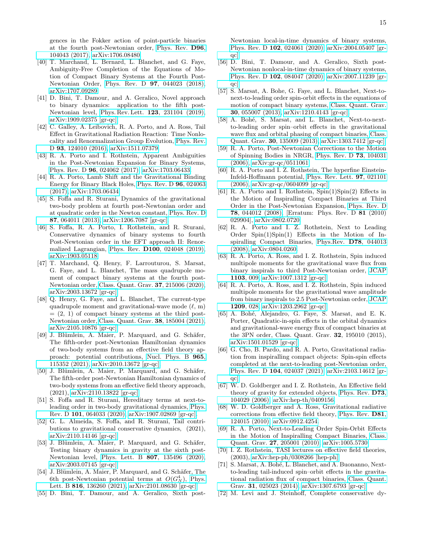gences in the Fokker action of point-particle binaries at the fourth post-Newtonian order, [Phys. Rev.](https://doi.org/10.1103/PhysRevD.96.104043) D96, [104043 \(2017\),](https://doi.org/10.1103/PhysRevD.96.104043) [arXiv:1706.08480.](https://arxiv.org/abs/1706.08480)

- [40] T. Marchand, L. Bernard, L. Blanchet, and G. Faye, Ambiguity-Free Completion of the Equations of Motion of Compact Binary Systems at the Fourth Post-Newtonian Order, Phys. Rev. D 97[, 044023 \(2018\),](https://doi.org/10.1103/PhysRevD.97.044023) [arXiv:1707.09289.](https://arxiv.org/abs/1707.09289)
- [41] D. Bini, T. Damour, and A. Geralico, Novel approach to binary dynamics: application to the fifth post-Newtonian level, Phys. Rev. Lett. 123[, 231104 \(2019\),](https://doi.org/10.1103/PhysRevLett.123.231104) [arXiv:1909.02375 \[gr-qc\].](https://arxiv.org/abs/1909.02375)
- <span id="page-14-12"></span>[42] C. Galley, A. Leibovich, R. A. Porto, and A. Ross, Tail Effect in Gravitational Radiation Reaction: Time Nonlocality and Renormalization Group Evolution, [Phys. Rev.](https://doi.org/10.1103/PhysRevD.93.124010) D 93[, 124010 \(2016\),](https://doi.org/10.1103/PhysRevD.93.124010) [arXiv:1511.07379.](https://arxiv.org/abs/1511.07379)
- [43] R. A. Porto and I. Rothstein, Apparent Ambiguities in the Post-Newtonian Expansion for Binary Systems, Phys. Rev. D 96[, 024062 \(2017\),](https://doi.org/10.1103/PhysRevD.96.024062) [arXiv:1703.06433.](https://arxiv.org/abs/1703.06433)
- [44] R. A. Porto, Lamb Shift and the Gravitational Binding Energy for Binary Black Holes, [Phys. Rev. D](https://doi.org/10.1103/PhysRevD.96.024063) 96, 024063 [\(2017\),](https://doi.org/10.1103/PhysRevD.96.024063) [arXiv:1703.06434.](https://arxiv.org/abs/1703.06434)
- [45] S. Foffa and R. Sturani, Dynamics of the gravitational two-body problem at fourth post-Newtonian order and at quadratic order in the Newton constant, [Phys. Rev. D](https://doi.org/10.1103/PhysRevD.87.064011) 87[, 064011 \(2013\),](https://doi.org/10.1103/PhysRevD.87.064011) [arXiv:1206.7087 \[gr-qc\].](https://arxiv.org/abs/1206.7087)
- [46] S. Foffa, R. A. Porto, I. Rothstein, and R. Sturani, Conservative dynamics of binary systems to fourth Post-Newtonian order in the EFT approach II: Renormalized Lagrangian, Phys. Rev. D100[, 024048 \(2019\),](https://doi.org/10.1103/PhysRevD.100.024048) [arXiv:1903.05118.](https://arxiv.org/abs/1903.05118)
- [47] T. Marchand, Q. Henry, F. Larrouturou, S. Marsat, G. Faye, and L. Blanchet, The mass quadrupole moment of compact binary systems at the fourth post-Newtonian order, [Class. Quant. Grav.](https://doi.org/10.1088/1361-6382/ab9ce1) 37, 215006 (2020), [arXiv:2003.13672 \[gr-qc\].](https://arxiv.org/abs/2003.13672)
- <span id="page-14-0"></span>[48] Q. Henry, G. Faye, and L. Blanchet, The current-type quadrupole moment and gravitational-wave mode  $(\ell, m)$  $=(2, 1)$  of compact binary systems at the third post-Newtonian order, [Class. Quant. Grav.](https://doi.org/10.1088/1361-6382/ac1850) 38, 185004 (2021), [arXiv:2105.10876 \[gr-qc\].](https://arxiv.org/abs/2105.10876)
- <span id="page-14-1"></span>[49] J. Blümlein, A. Maier, P. Marquard, and G. Schäfer, The fifth-order post-Newtonian Hamiltonian dynamics of two-body systems from an effective field theory approach: potential contributions, [Nucl. Phys. B](https://doi.org/10.1016/j.nuclphysb.2021.115352) 965, [115352 \(2021\),](https://doi.org/10.1016/j.nuclphysb.2021.115352) [arXiv:2010.13672 \[gr-qc\].](https://arxiv.org/abs/2010.13672)
- [50] J. Blümlein, A. Maier, P. Marquard, and G. Schäfer, The fifth-order post-Newtonian Hamiltonian dynamics of two-body systems from an effective field theory approach, (2021), [arXiv:2110.13822 \[gr-qc\].](https://arxiv.org/abs/2110.13822)
- [51] S. Foffa and R. Sturani, Hereditary terms at next-toleading order in two-body gravitational dynamics, [Phys.](https://doi.org/10.1103/PhysRevD.101.064033) Rev. D 101[, 064033 \(2020\),](https://doi.org/10.1103/PhysRevD.101.064033) [arXiv:1907.02869 \[gr-qc\].](https://arxiv.org/abs/1907.02869)
- [52] G. L. Almeida, S. Foffa, and R. Sturani, Tail contributions to gravitational conservative dynamics, (2021), [arXiv:2110.14146 \[gr-qc\].](https://arxiv.org/abs/2110.14146)
- [53] J. Blümlein, A. Maier, P. Marquard, and G. Schäfer, Testing binary dynamics in gravity at the sixth post-Newtonian level, Phys. Lett. B 807[, 135496 \(2020\),](https://doi.org/10.1016/j.physletb.2020.135496) [arXiv:2003.07145 \[gr-qc\].](https://arxiv.org/abs/2003.07145)
- [54] J. Blümlein, A. Maier, P. Marquard, and G. Schäfer, The 6th post-Newtonian potential terms at  $O(G_N^4)$ , [Phys.](https://doi.org/10.1016/j.physletb.2021.136260) Lett. B 816[, 136260 \(2021\),](https://doi.org/10.1016/j.physletb.2021.136260) [arXiv:2101.08630 \[gr-qc\].](https://arxiv.org/abs/2101.08630)
- [55] D. Bini, T. Damour, and A. Geralico, Sixth post-

Newtonian local-in-time dynamics of binary systems, Phys. Rev. D 102[, 024061 \(2020\),](https://doi.org/10.1103/PhysRevD.102.024061) [arXiv:2004.05407 \[gr](https://arxiv.org/abs/2004.05407)[qc\].](https://arxiv.org/abs/2004.05407)

- <span id="page-14-2"></span>[56] D. Bini, T. Damour, and A. Geralico, Sixth post-Newtonian nonlocal-in-time dynamics of binary systems, Phys. Rev. D 102[, 084047 \(2020\),](https://doi.org/10.1103/PhysRevD.102.084047) [arXiv:2007.11239 \[gr](https://arxiv.org/abs/2007.11239)[qc\].](https://arxiv.org/abs/2007.11239)
- <span id="page-14-3"></span>[57] S. Marsat, A. Bohe, G. Faye, and L. Blanchet, Next-tonext-to-leading order spin-orbit effects in the equations of motion of compact binary systems, [Class. Quant. Grav.](https://doi.org/10.1088/0264-9381/30/5/055007) 30[, 055007 \(2013\),](https://doi.org/10.1088/0264-9381/30/5/055007) [arXiv:1210.4143 \[gr-qc\].](https://arxiv.org/abs/1210.4143)
- <span id="page-14-4"></span>[58] A. Bohé, S. Marsat, and L. Blanchet, Next-to-nextto-leading order spin–orbit effects in the gravitational wave flux and orbital phasing of compact binaries, [Class.](https://doi.org/10.1088/0264-9381/30/13/135009) Quant. Grav. 30[, 135009 \(2013\),](https://doi.org/10.1088/0264-9381/30/13/135009) [arXiv:1303.7412 \[gr-qc\].](https://arxiv.org/abs/1303.7412)
- <span id="page-14-5"></span>[59] R. A. Porto, Post-Newtonian Corrections to the Motion of Spinning Bodies in NRGR, [Phys. Rev. D](https://doi.org/10.1103/PhysRevD.73.104031) 73, 104031 [\(2006\),](https://doi.org/10.1103/PhysRevD.73.104031) [arXiv:gr-qc/0511061.](https://arxiv.org/abs/gr-qc/0511061)
- [60] R. A. Porto and I. Z. Rothstein, The hyperfine Einstein-Infeld-Hoffmann potential, [Phys. Rev. Lett.](https://doi.org/10.1103/PhysRevLett.97.021101) 97, 021101 [\(2006\),](https://doi.org/10.1103/PhysRevLett.97.021101) [arXiv:gr-qc/0604099 \[gr-qc\].](https://arxiv.org/abs/gr-qc/0604099)
- [61] R. A. Porto and I. Rothstein, Spin(1)Spin(2) Effects in the Motion of Inspiralling Compact Binaries at Third Order in the Post-Newtonian Expansion, [Phys. Rev. D](https://doi.org/10.1103/PhysRevD.78.044012, 10.1103/PhysRevD.81.029904) 78[, 044012 \(2008\),](https://doi.org/10.1103/PhysRevD.78.044012, 10.1103/PhysRevD.81.029904) [Erratum: Phys. Rev. D 81 (2010) 029904], [arXiv:0802.0720.](https://arxiv.org/abs/0802.0720)
- <span id="page-14-14"></span>[62] R. A. Porto and I. Z. Rothstein, Next to Leading Order  $Spin(1)Spin(1)$  Effects in the Motion of Inspiralling Compact Binaries, [Phys.Rev.](https://doi.org/10.1103/PhysRevD.78.044013) D78, 044013 [\(2008\),](https://doi.org/10.1103/PhysRevD.78.044013) [arXiv:0804.0260.](https://arxiv.org/abs/0804.0260)
- [63] R. A. Porto, A. Ross, and I. Z. Rothstein, Spin induced multipole moments for the gravitational wave flux from binary inspirals to third Post-Newtonian order, [JCAP](https://doi.org/10.1088/1475-7516/2011/03/009) [1103](https://doi.org/10.1088/1475-7516/2011/03/009), 009, [arXiv:1007.1312 \[gr-qc\].](https://arxiv.org/abs/1007.1312)
- <span id="page-14-9"></span>[64] R. A. Porto, A. Ross, and I. Z. Rothstein, Spin induced multipole moments for the gravitational wave amplitude from binary inspirals to 2.5 Post-Newtonian order, [JCAP](https://doi.org/10.1088/1475-7516/2012/09/028) [1209](https://doi.org/10.1088/1475-7516/2012/09/028), 028, [arXiv:1203.2962 \[gr-qc\].](https://arxiv.org/abs/1203.2962)
- [65] A. Bohé, Alejandro, G. Faye, S. Marsat, and E. K. Porter, Quadratic-in-spin effects in the orbital dynamics and gravitational-wave energy flux of compact binaries at the 3PN order, Class. Quant. Grav. 32, 195010 (2015), [arXiv:1501.01529 \[gr-qc\].](https://arxiv.org/abs/1501.01529)
- <span id="page-14-6"></span>[66] G. Cho, B. Pardo, and R. A. Porto, Gravitational radiation from inspiralling compact objects: Spin-spin effects completed at the next-to-leading post-Newtonian order, Phys. Rev. D 104[, 024037 \(2021\),](https://doi.org/10.1103/PhysRevD.104.024037) [arXiv:2103.14612 \[gr](https://arxiv.org/abs/2103.14612)[qc\].](https://arxiv.org/abs/2103.14612)
- <span id="page-14-7"></span>[67] W. D. Goldberger and I. Z. Rothstein, An Effective field theory of gravity for extended objects, [Phys. Rev.](https://doi.org/10.1103/PhysRevD.73.104029) D73, [104029 \(2006\),](https://doi.org/10.1103/PhysRevD.73.104029) [arXiv:hep-th/0409156.](https://arxiv.org/abs/hep-th/0409156)
- <span id="page-14-8"></span>[68] W. D. Goldberger and A. Ross, Gravitational radiative corrections from effective field theory, [Phys. Rev.](https://doi.org/10.1103/PhysRevD.81.124015) D81, [124015 \(2010\),](https://doi.org/10.1103/PhysRevD.81.124015) [arXiv:0912.4254.](https://arxiv.org/abs/0912.4254)
- <span id="page-14-10"></span>[69] R. A. Porto, Next-to-Leading Order Spin-Orbit Effects in the Motion of Inspiralling Compact Binaries, [Class.](https://doi.org/10.1088/0264-9381/27/20/205001) Quant. Grav. 27[, 205001 \(2010\),](https://doi.org/10.1088/0264-9381/27/20/205001) [arXiv:1005.5730.](https://arxiv.org/abs/1005.5730)
- <span id="page-14-11"></span>[70] I. Z. Rothstein, TASI lectures on effective field theories, (2003), [arXiv:hep-ph/0308266 \[hep-ph\].](https://arxiv.org/abs/hep-ph/0308266)
- <span id="page-14-13"></span>[71] S. Marsat, A. Bohé, L. Blanchet, and A. Buonanno, Nextto-leading tail-induced spin–orbit effects in the gravitational radiation flux of compact binaries, [Class. Quant.](https://doi.org/10.1088/0264-9381/31/2/025023) Grav. 31[, 025023 \(2014\),](https://doi.org/10.1088/0264-9381/31/2/025023) [arXiv:1307.6793 \[gr-qc\].](https://arxiv.org/abs/1307.6793)
- <span id="page-14-15"></span>[72] M. Levi and J. Steinhoff, Complete conservative dy-